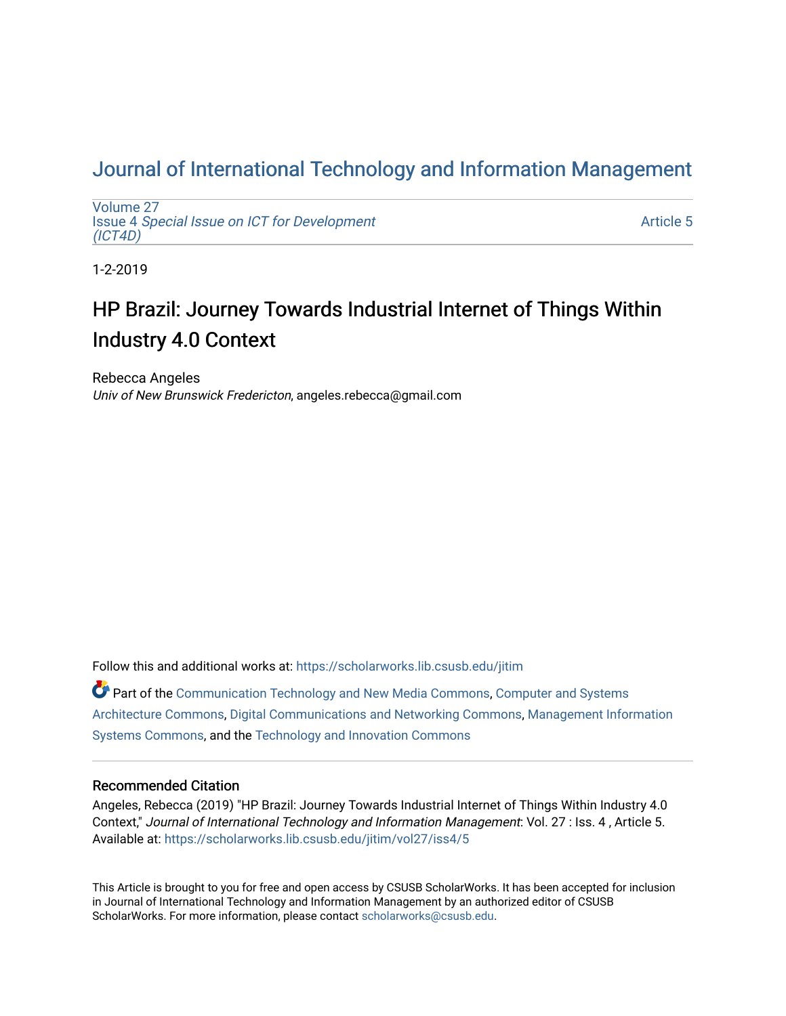## [Journal of International Technology and Information Management](https://scholarworks.lib.csusb.edu/jitim)

[Volume 27](https://scholarworks.lib.csusb.edu/jitim/vol27) Issue 4 [Special Issue on ICT for Development](https://scholarworks.lib.csusb.edu/jitim/vol27/iss4) [\(ICT4D\)](https://scholarworks.lib.csusb.edu/jitim/vol27/iss4) 

[Article 5](https://scholarworks.lib.csusb.edu/jitim/vol27/iss4/5) 

1-2-2019

# HP Brazil: Journey Towards Industrial Internet of Things Within Industry 4.0 Context

Rebecca Angeles Univ of New Brunswick Fredericton, angeles.rebecca@gmail.com

Follow this and additional works at: [https://scholarworks.lib.csusb.edu/jitim](https://scholarworks.lib.csusb.edu/jitim?utm_source=scholarworks.lib.csusb.edu%2Fjitim%2Fvol27%2Fiss4%2F5&utm_medium=PDF&utm_campaign=PDFCoverPages) 

 $\bullet$  Part of the [Communication Technology and New Media Commons,](http://network.bepress.com/hgg/discipline/327?utm_source=scholarworks.lib.csusb.edu%2Fjitim%2Fvol27%2Fiss4%2F5&utm_medium=PDF&utm_campaign=PDFCoverPages) [Computer and Systems](http://network.bepress.com/hgg/discipline/259?utm_source=scholarworks.lib.csusb.edu%2Fjitim%2Fvol27%2Fiss4%2F5&utm_medium=PDF&utm_campaign=PDFCoverPages) [Architecture Commons,](http://network.bepress.com/hgg/discipline/259?utm_source=scholarworks.lib.csusb.edu%2Fjitim%2Fvol27%2Fiss4%2F5&utm_medium=PDF&utm_campaign=PDFCoverPages) [Digital Communications and Networking Commons,](http://network.bepress.com/hgg/discipline/262?utm_source=scholarworks.lib.csusb.edu%2Fjitim%2Fvol27%2Fiss4%2F5&utm_medium=PDF&utm_campaign=PDFCoverPages) [Management Information](http://network.bepress.com/hgg/discipline/636?utm_source=scholarworks.lib.csusb.edu%2Fjitim%2Fvol27%2Fiss4%2F5&utm_medium=PDF&utm_campaign=PDFCoverPages)  [Systems Commons,](http://network.bepress.com/hgg/discipline/636?utm_source=scholarworks.lib.csusb.edu%2Fjitim%2Fvol27%2Fiss4%2F5&utm_medium=PDF&utm_campaign=PDFCoverPages) and the [Technology and Innovation Commons](http://network.bepress.com/hgg/discipline/644?utm_source=scholarworks.lib.csusb.edu%2Fjitim%2Fvol27%2Fiss4%2F5&utm_medium=PDF&utm_campaign=PDFCoverPages) 

#### Recommended Citation

Angeles, Rebecca (2019) "HP Brazil: Journey Towards Industrial Internet of Things Within Industry 4.0 Context," Journal of International Technology and Information Management: Vol. 27 : Iss. 4 , Article 5. Available at: [https://scholarworks.lib.csusb.edu/jitim/vol27/iss4/5](https://scholarworks.lib.csusb.edu/jitim/vol27/iss4/5?utm_source=scholarworks.lib.csusb.edu%2Fjitim%2Fvol27%2Fiss4%2F5&utm_medium=PDF&utm_campaign=PDFCoverPages) 

This Article is brought to you for free and open access by CSUSB ScholarWorks. It has been accepted for inclusion in Journal of International Technology and Information Management by an authorized editor of CSUSB ScholarWorks. For more information, please contact [scholarworks@csusb.edu.](mailto:scholarworks@csusb.edu)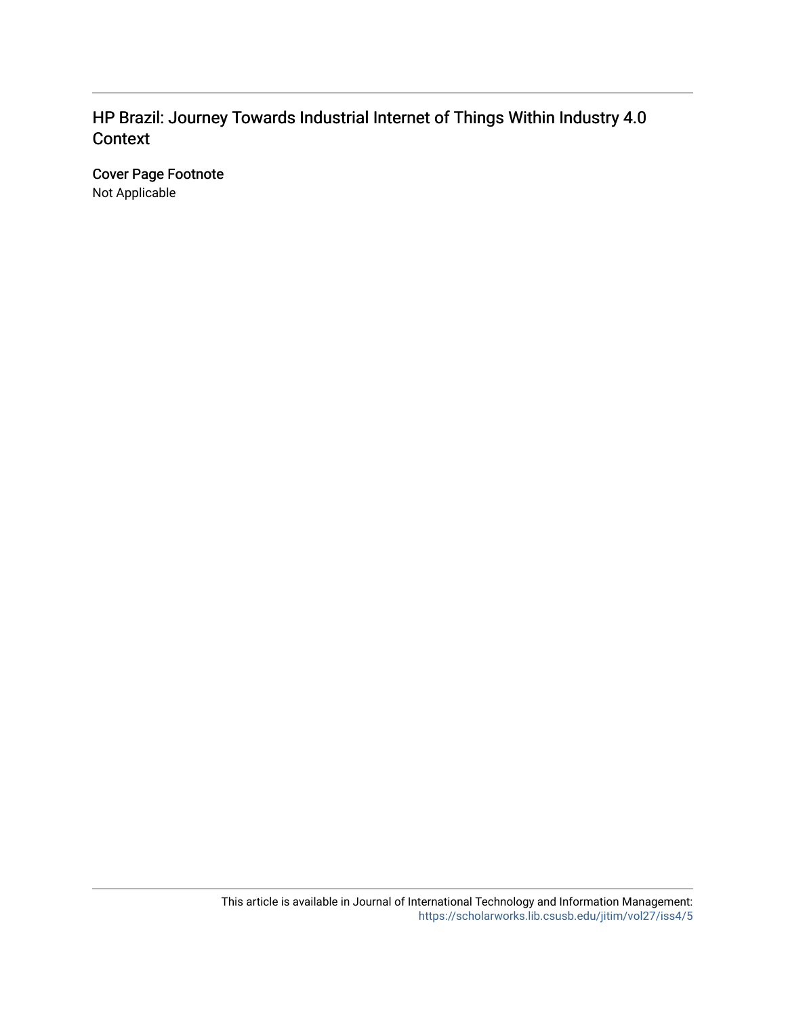## HP Brazil: Journey Towards Industrial Internet of Things Within Industry 4.0 Context

Cover Page Footnote Not Applicable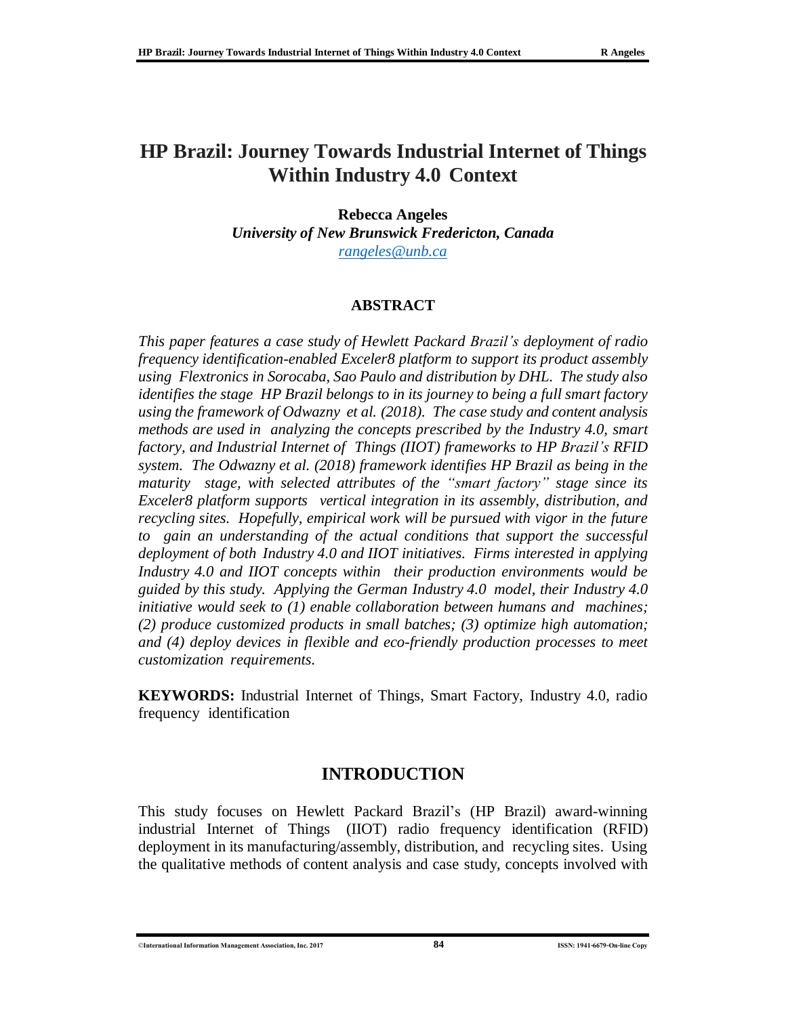## **HP Brazil: Journey Towards Industrial Internet of Things Within Industry 4.0 Context**

**Rebecca Angeles**

*University of New Brunswick Fredericton, Canada [rangeles@unb.ca](mailto:rangeles@unb.ca)*

### **ABSTRACT**

*This paper features a case study of Hewlett Packard Brazil's deployment of radio frequency identification-enabled Exceler8 platform to support its product assembly using Flextronics in Sorocaba, Sao Paulo and distribution by DHL. The study also identifies the stage HP Brazil belongs to in its journey to being a full smart factory using the framework of Odwazny et al. (2018). The case study and content analysis methods are used in analyzing the concepts prescribed by the Industry 4.0, smart factory, and Industrial Internet of Things (IIOT) frameworks to HP Brazil's RFID system. The Odwazny et al. (2018) framework identifies HP Brazil as being in the maturity stage, with selected attributes of the "smart factory" stage since its Exceler8 platform supports vertical integration in its assembly, distribution, and recycling sites. Hopefully, empirical work will be pursued with vigor in the future to gain an understanding of the actual conditions that support the successful deployment of both Industry 4.0 and IIOT initiatives. Firms interested in applying Industry 4.0 and IIOT concepts within their production environments would be guided by this study. Applying the German Industry 4.0 model, their Industry 4.0 initiative would seek to (1) enable collaboration between humans and machines; (2) produce customized products in small batches; (3) optimize high automation; and (4) deploy devices in flexible and eco-friendly production processes to meet customization requirements.*

**KEYWORDS:** Industrial Internet of Things, Smart Factory, Industry 4.0, radio frequency identification

## **INTRODUCTION**

This study focuses on Hewlett Packard Brazil's (HP Brazil) award-winning industrial Internet of Things (IIOT) radio frequency identification (RFID) deployment in its manufacturing/assembly, distribution, and recycling sites. Using the qualitative methods of content analysis and case study, concepts involved with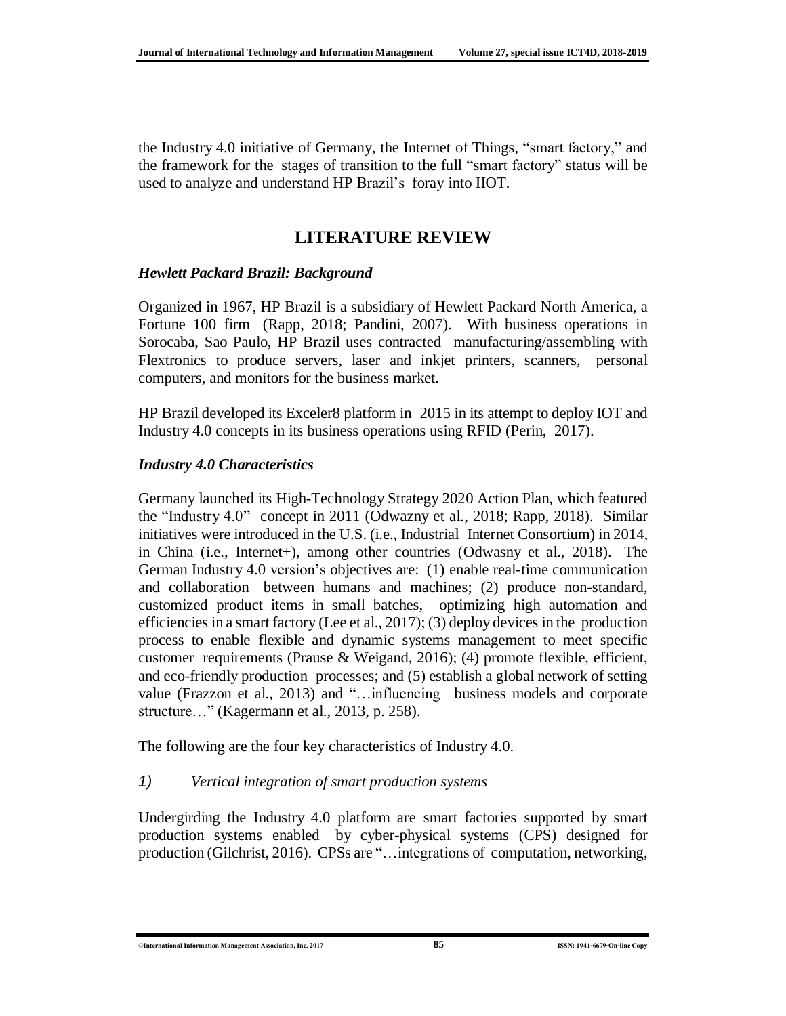the Industry 4.0 initiative of Germany, the Internet of Things, "smart factory," and the framework for the stages of transition to the full "smart factory" status will be used to analyze and understand HP Brazil's foray into IIOT.

## **LITERATURE REVIEW**

### *Hewlett Packard Brazil: Background*

Organized in 1967, HP Brazil is a subsidiary of Hewlett Packard North America, a Fortune 100 firm (Rapp, 2018; Pandini, 2007). With business operations in Sorocaba, Sao Paulo, HP Brazil uses contracted manufacturing/assembling with Flextronics to produce servers, laser and inkjet printers, scanners, personal computers, and monitors for the business market.

HP Brazil developed its Exceler8 platform in 2015 in its attempt to deploy IOT and Industry 4.0 concepts in its business operations using RFID (Perin, 2017).

### *Industry 4.0 Characteristics*

Germany launched its High-Technology Strategy 2020 Action Plan, which featured the "Industry 4.0" concept in 2011 (Odwazny et al., 2018; Rapp, 2018). Similar initiatives were introduced in the U.S. (i.e., Industrial Internet Consortium) in 2014, in China (i.e., Internet+), among other countries (Odwasny et al., 2018). The German Industry 4.0 version's objectives are: (1) enable real-time communication and collaboration between humans and machines; (2) produce non-standard, customized product items in small batches, optimizing high automation and efficiencies in a smart factory (Lee et al., 2017); (3) deploy devices in the production process to enable flexible and dynamic systems management to meet specific customer requirements (Prause & Weigand, 2016); (4) promote flexible, efficient, and eco-friendly production processes; and (5) establish a global network of setting value (Frazzon et al., 2013) and "…influencing business models and corporate structure…" (Kagermann et al., 2013, p. 258).

The following are the four key characteristics of Industry 4.0.

### *1) Vertical integration of smart production systems*

Undergirding the Industry 4.0 platform are smart factories supported by smart production systems enabled by cyber-physical systems (CPS) designed for production (Gilchrist, 2016). CPSs are "…integrations of computation, networking,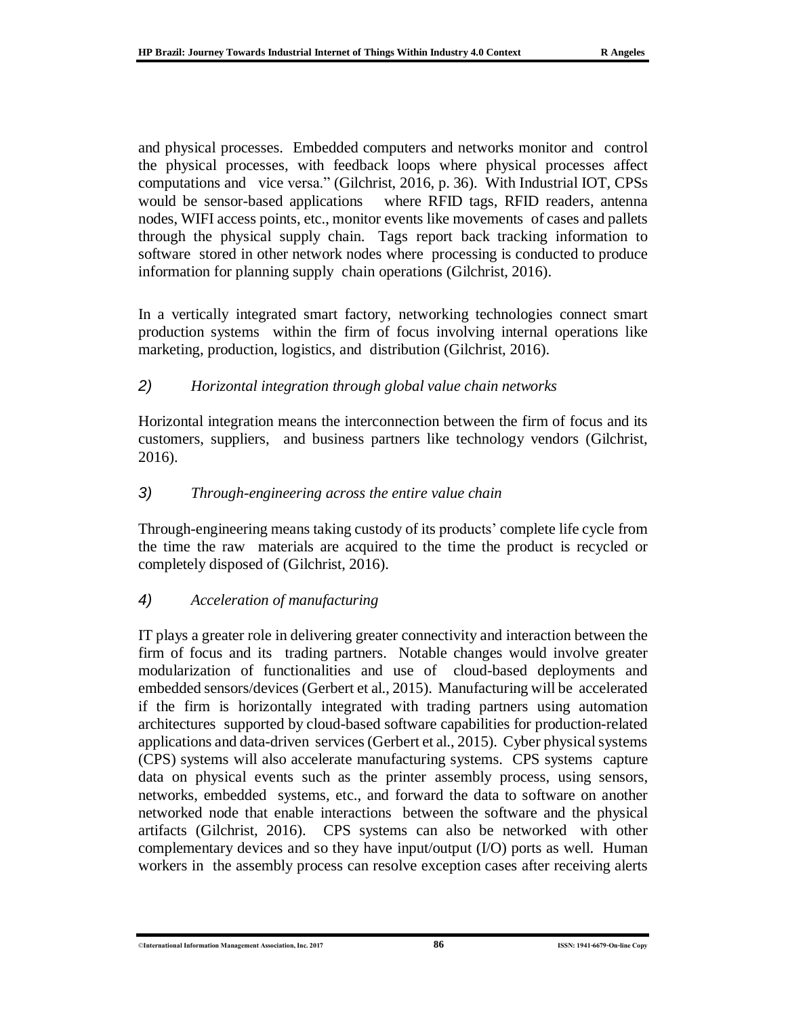and physical processes. Embedded computers and networks monitor and control the physical processes, with feedback loops where physical processes affect computations and vice versa." (Gilchrist, 2016, p. 36). With Industrial IOT, CPSs would be sensor-based applications where RFID tags, RFID readers, antenna nodes, WIFI access points, etc., monitor events like movements of cases and pallets through the physical supply chain. Tags report back tracking information to software stored in other network nodes where processing is conducted to produce information for planning supply chain operations (Gilchrist, 2016).

In a vertically integrated smart factory, networking technologies connect smart production systems within the firm of focus involving internal operations like marketing, production, logistics, and distribution (Gilchrist, 2016).

### *2) Horizontal integration through global value chain networks*

Horizontal integration means the interconnection between the firm of focus and its customers, suppliers, and business partners like technology vendors (Gilchrist, 2016).

### *3) Through-engineering across the entire value chain*

Through-engineering means taking custody of its products' complete life cycle from the time the raw materials are acquired to the time the product is recycled or completely disposed of (Gilchrist, 2016).

### *4) Acceleration of manufacturing*

IT plays a greater role in delivering greater connectivity and interaction between the firm of focus and its trading partners. Notable changes would involve greater modularization of functionalities and use of cloud-based deployments and embedded sensors/devices (Gerbert et al., 2015). Manufacturing will be accelerated if the firm is horizontally integrated with trading partners using automation architectures supported by cloud-based software capabilities for production-related applications and data-driven services (Gerbert et al., 2015). Cyber physical systems (CPS) systems will also accelerate manufacturing systems. CPS systems capture data on physical events such as the printer assembly process, using sensors, networks, embedded systems, etc., and forward the data to software on another networked node that enable interactions between the software and the physical artifacts (Gilchrist, 2016). CPS systems can also be networked with other complementary devices and so they have input/output (I/O) ports as well. Human workers in the assembly process can resolve exception cases after receiving alerts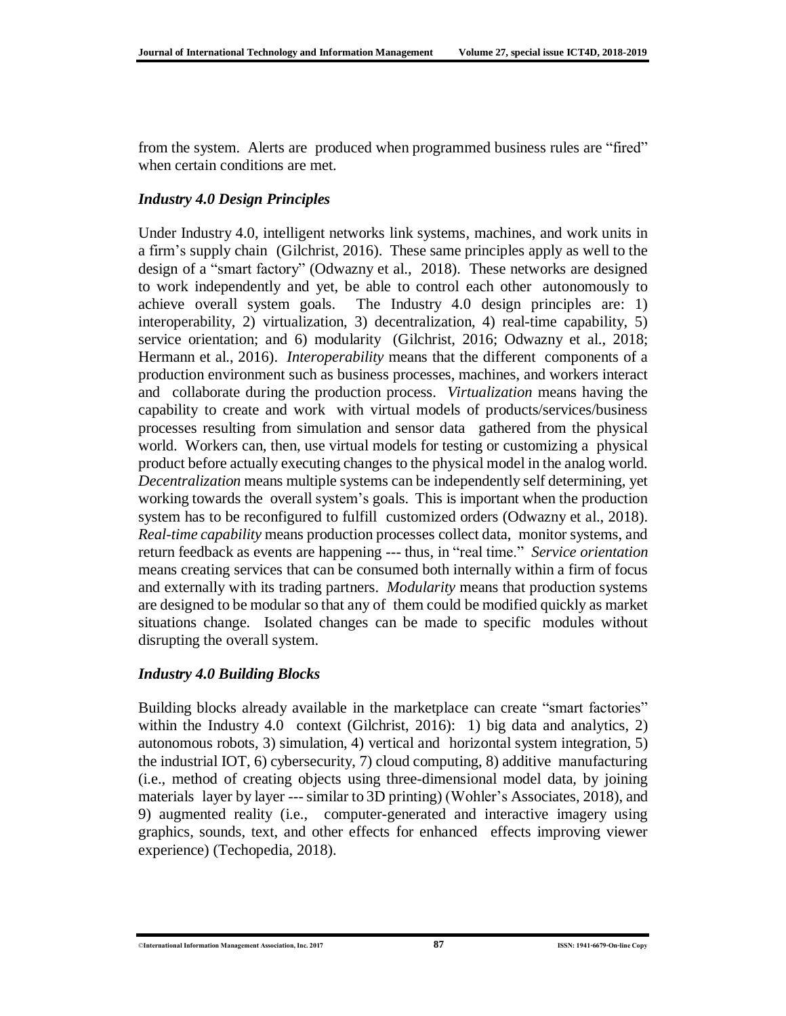from the system. Alerts are produced when programmed business rules are "fired" when certain conditions are met.

### *Industry 4.0 Design Principles*

Under Industry 4.0, intelligent networks link systems, machines, and work units in a firm's supply chain (Gilchrist, 2016). These same principles apply as well to the design of a "smart factory" (Odwazny et al., 2018). These networks are designed to work independently and yet, be able to control each other autonomously to achieve overall system goals. The Industry 4.0 design principles are: 1) interoperability, 2) virtualization, 3) decentralization, 4) real-time capability, 5) service orientation; and 6) modularity (Gilchrist, 2016; Odwazny et al., 2018; Hermann et al., 2016). *Interoperability* means that the different components of a production environment such as business processes, machines, and workers interact and collaborate during the production process. *Virtualization* means having the capability to create and work with virtual models of products/services/business processes resulting from simulation and sensor data gathered from the physical world. Workers can, then, use virtual models for testing or customizing a physical product before actually executing changes to the physical model in the analog world. *Decentralization* means multiple systems can be independently self determining, yet working towards the overall system's goals. This is important when the production system has to be reconfigured to fulfill customized orders (Odwazny et al., 2018). *Real-time capability* means production processes collect data, monitor systems, and return feedback as events are happening --- thus, in "real time." *Service orientation* means creating services that can be consumed both internally within a firm of focus and externally with its trading partners. *Modularity* means that production systems are designed to be modular so that any of them could be modified quickly as market situations change. Isolated changes can be made to specific modules without disrupting the overall system.

### *Industry 4.0 Building Blocks*

Building blocks already available in the marketplace can create "smart factories" within the Industry 4.0 context (Gilchrist, 2016): 1) big data and analytics, 2) autonomous robots, 3) simulation, 4) vertical and horizontal system integration, 5) the industrial IOT, 6) cybersecurity, 7) cloud computing, 8) additive manufacturing (i.e., method of creating objects using three-dimensional model data, by joining materials layer by layer ---similar to 3D printing) (Wohler's Associates, 2018), and 9) augmented reality (i.e., computer-generated and interactive imagery using graphics, sounds, text, and other effects for enhanced effects improving viewer experience) (Techopedia, 2018).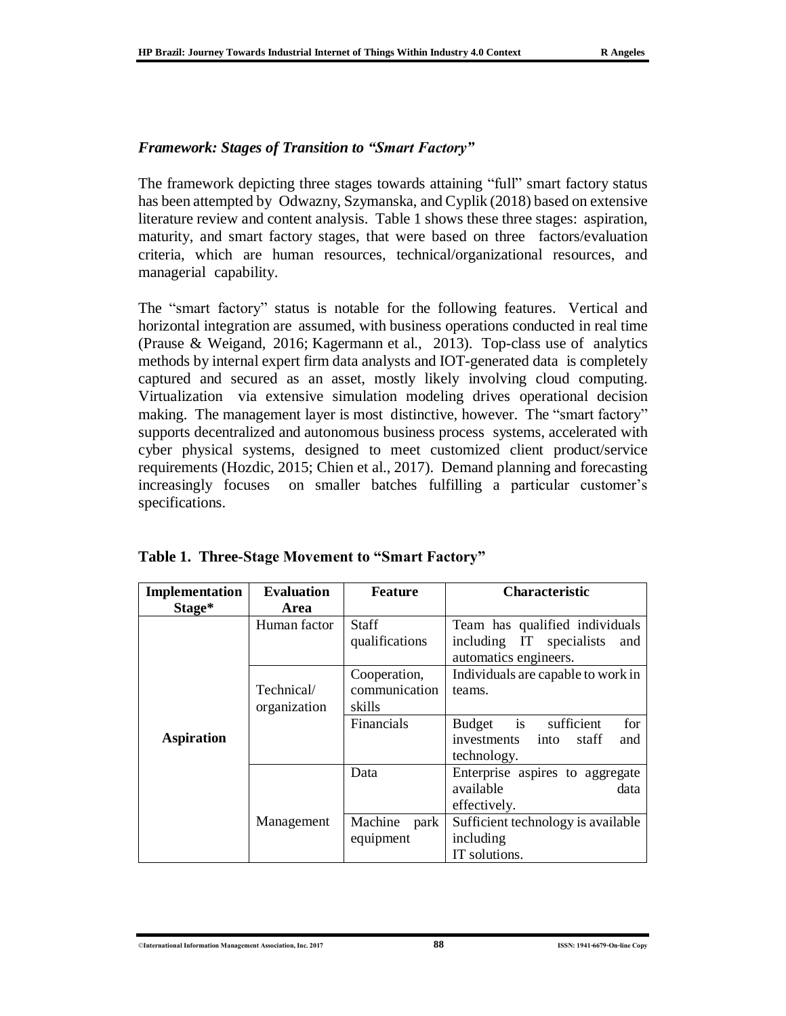#### *Framework: Stages of Transition to "Smart Factory"*

The framework depicting three stages towards attaining "full" smart factory status has been attempted by Odwazny, Szymanska, and Cyplik (2018) based on extensive literature review and content analysis. Table 1 shows these three stages: aspiration, maturity, and smart factory stages, that were based on three factors/evaluation criteria, which are human resources, technical/organizational resources, and managerial capability.

The "smart factory" status is notable for the following features. Vertical and horizontal integration are assumed, with business operations conducted in real time (Prause & Weigand, 2016; Kagermann et al., 2013). Top-class use of analytics methods by internal expert firm data analysts and IOT-generated data is completely captured and secured as an asset, mostly likely involving cloud computing. Virtualization via extensive simulation modeling drives operational decision making. The management layer is most distinctive, however. The "smart factory" supports decentralized and autonomous business process systems, accelerated with cyber physical systems, designed to meet customized client product/service requirements (Hozdic, 2015; Chien et al., 2017). Demand planning and forecasting increasingly focuses on smaller batches fulfilling a particular customer's specifications.

| Implementation    | <b>Evaluation</b>          | <b>Feature</b>                          | <b>Characteristic</b>                                                                      |
|-------------------|----------------------------|-----------------------------------------|--------------------------------------------------------------------------------------------|
| Stage*            | Area                       |                                         |                                                                                            |
|                   | Human factor               | <b>Staff</b><br>qualifications          | Team has qualified individuals<br>including IT specialists<br>and<br>automatics engineers. |
|                   | Technical/<br>organization | Cooperation,<br>communication<br>skills | Individuals are capable to work in<br>teams.                                               |
| <b>Aspiration</b> |                            | Financials                              | Budget is sufficient<br>for<br>investments into<br>staff<br>and<br>technology.             |
|                   |                            | Data                                    | Enterprise aspires to aggregate<br>available<br>data<br>effectively.                       |
|                   | Management                 | Machine<br>park<br>equipment            | Sufficient technology is available<br>including<br>IT solutions.                           |

|  | Table 1. Three-Stage Movement to "Smart Factory" |  |
|--|--------------------------------------------------|--|
|  |                                                  |  |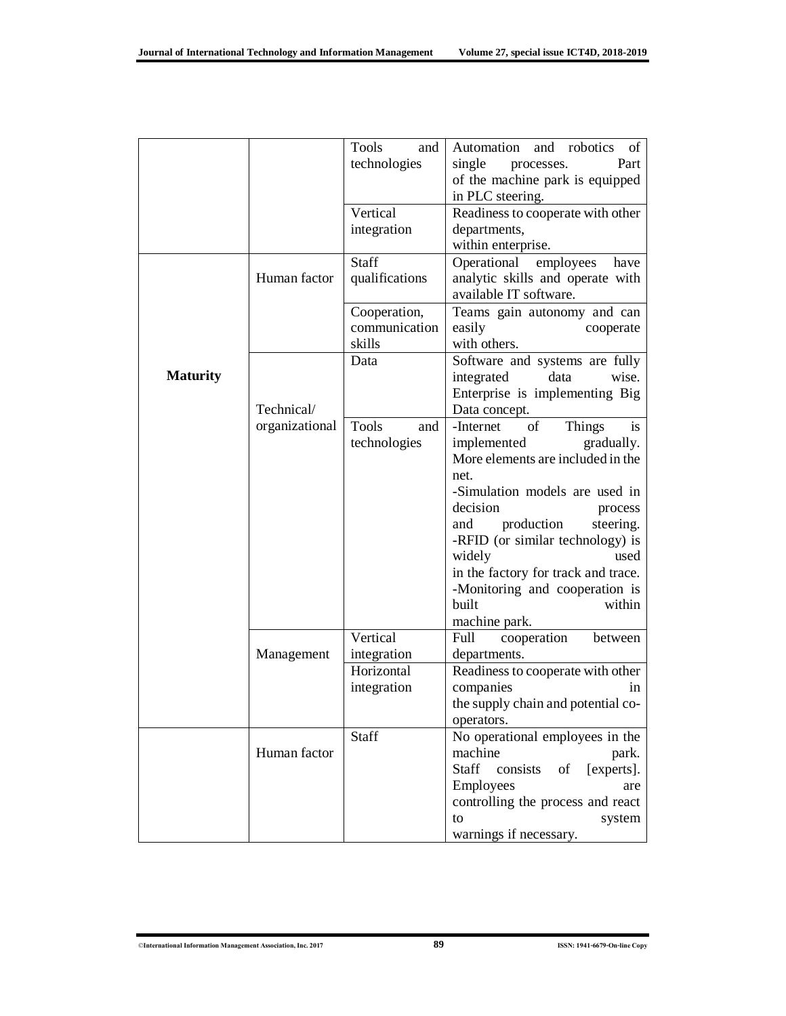|                 |                | Tools<br>and   | and robotics<br>Automation<br>of    |
|-----------------|----------------|----------------|-------------------------------------|
|                 |                | technologies   | single<br>Part<br>processes.        |
|                 |                |                | of the machine park is equipped     |
|                 |                |                | in PLC steering.                    |
|                 |                | Vertical       | Readiness to cooperate with other   |
|                 |                | integration    | departments,                        |
|                 |                |                | within enterprise.                  |
|                 |                | Staff          | employees<br>Operational<br>have    |
|                 | Human factor   | qualifications | analytic skills and operate with    |
|                 |                |                | available IT software.              |
|                 |                | Cooperation,   | Teams gain autonomy and can         |
|                 |                | communication  | easily<br>cooperate                 |
|                 |                | skills         | with others.                        |
|                 |                | Data           | Software and systems are fully      |
| <b>Maturity</b> |                |                | integrated<br>wise.<br>data         |
|                 |                |                | Enterprise is implementing Big      |
|                 | Technical/     |                | Data concept.                       |
|                 | organizational | Tools<br>and   | of<br>-Internet<br>Things<br>is     |
|                 |                | technologies   | gradually.<br>implemented           |
|                 |                |                | More elements are included in the   |
|                 |                |                | net.                                |
|                 |                |                | -Simulation models are used in      |
|                 |                |                | decision                            |
|                 |                |                | process                             |
|                 |                |                | production<br>and<br>steering.      |
|                 |                |                | -RFID (or similar technology) is    |
|                 |                |                | widely<br>used                      |
|                 |                |                | in the factory for track and trace. |
|                 |                |                | -Monitoring and cooperation is      |
|                 |                |                | built<br>within                     |
|                 |                |                | machine park.                       |
|                 |                | Vertical       | cooperation<br>Full<br>between      |
|                 | Management     | integration    | departments.                        |
|                 |                | Horizontal     | Readiness to cooperate with other   |
|                 |                | integration    | companies<br>1n                     |
|                 |                |                | the supply chain and potential co-  |
|                 |                |                | operators.                          |
|                 |                | Staff          | No operational employees in the     |
|                 | Human factor   |                | machine<br>park.                    |
|                 |                |                | Staff consists<br>[experts].<br>οf  |
|                 |                |                | Employees<br>are                    |
|                 |                |                | controlling the process and react   |
|                 |                |                | to<br>system                        |
|                 |                |                | warnings if necessary.              |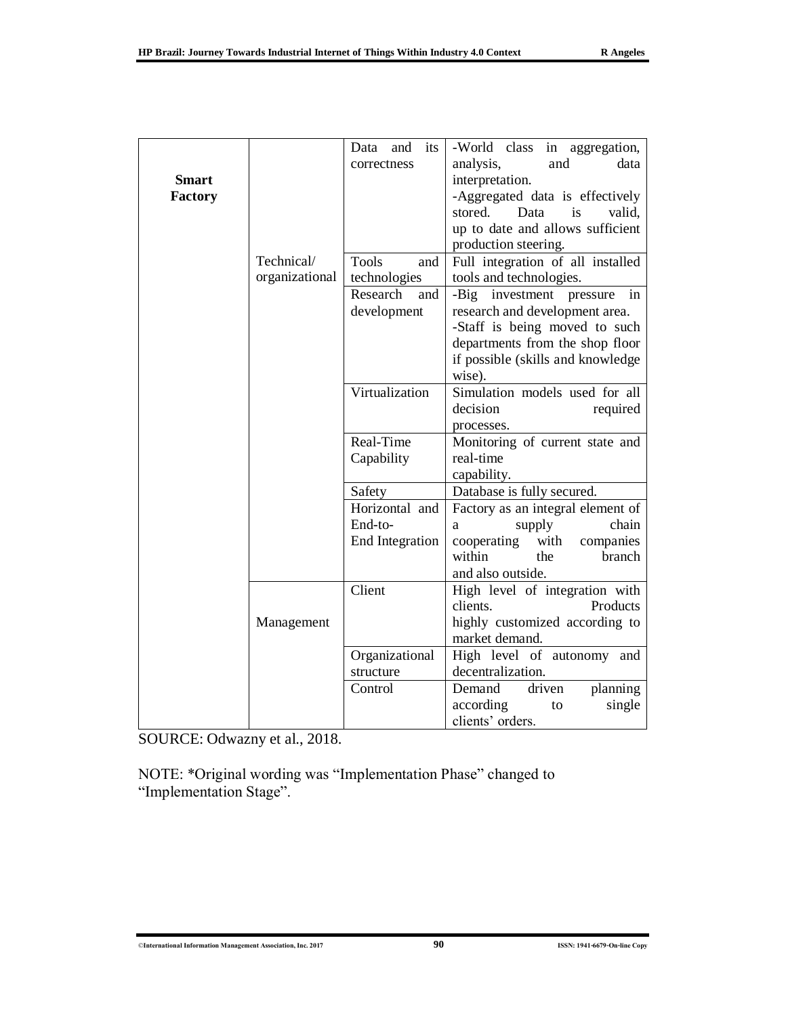|              |                | its<br>Data<br>and<br>correctness | -World class in aggregation,<br>and<br>analysis,<br>data |
|--------------|----------------|-----------------------------------|----------------------------------------------------------|
| <b>Smart</b> |                |                                   | interpretation.                                          |
| Factory      |                |                                   | -Aggregated data is effectively                          |
|              |                |                                   | stored.<br>Data<br>is<br>valid,                          |
|              |                |                                   | up to date and allows sufficient                         |
|              |                |                                   | production steering.                                     |
|              | Technical/     | <b>Tools</b><br>and               | Full integration of all installed                        |
|              | organizational | technologies                      | tools and technologies.                                  |
|              |                | Research<br>and                   | -Big investment pressure<br>in                           |
|              |                | development                       | research and development area.                           |
|              |                |                                   | -Staff is being moved to such                            |
|              |                |                                   | departments from the shop floor                          |
|              |                |                                   | if possible (skills and knowledge                        |
|              |                |                                   | wise).                                                   |
|              |                | Virtualization                    | Simulation models used for all                           |
|              |                |                                   | decision<br>required                                     |
|              |                |                                   | processes.                                               |
|              |                | Real-Time                         | Monitoring of current state and                          |
|              |                | Capability                        | real-time                                                |
|              |                |                                   | capability.                                              |
|              |                | Safety                            | Database is fully secured.                               |
|              |                | Horizontal and                    | Factory as an integral element of                        |
|              |                | End-to-                           | chain<br>supply<br>a                                     |
|              |                | <b>End Integration</b>            | with<br>companies<br>cooperating                         |
|              |                |                                   | within<br>the<br>branch                                  |
|              |                | Client                            | and also outside.                                        |
|              |                |                                   | High level of integration with<br>clients.<br>Products   |
|              |                |                                   |                                                          |
|              | Management     |                                   | highly customized according to<br>market demand.         |
|              |                | Organizational                    | High level of autonomy and                               |
|              |                | structure                         | decentralization.                                        |
|              |                | Control                           | Demand<br>planning<br>driven                             |
|              |                |                                   | according<br>single<br>to                                |
|              |                |                                   |                                                          |

SOURCE: Odwazny et al., 2018.

NOTE: \*Original wording was "Implementation Phase" changed to "Implementation Stage".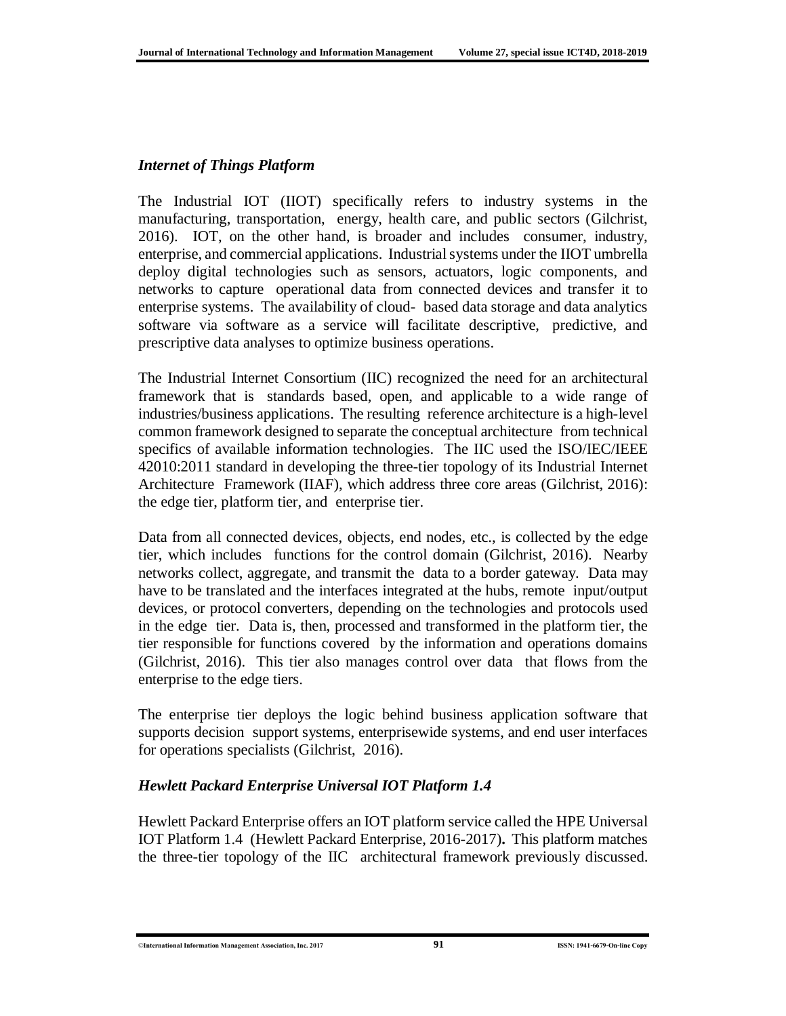#### *Internet of Things Platform*

The Industrial IOT (IIOT) specifically refers to industry systems in the manufacturing, transportation, energy, health care, and public sectors (Gilchrist, 2016). IOT, on the other hand, is broader and includes consumer, industry, enterprise, and commercial applications. Industrial systems under the IIOT umbrella deploy digital technologies such as sensors, actuators, logic components, and networks to capture operational data from connected devices and transfer it to enterprise systems. The availability of cloud- based data storage and data analytics software via software as a service will facilitate descriptive, predictive, and prescriptive data analyses to optimize business operations.

The Industrial Internet Consortium (IIC) recognized the need for an architectural framework that is standards based, open, and applicable to a wide range of industries/business applications. The resulting reference architecture is a high-level common framework designed to separate the conceptual architecture from technical specifics of available information technologies. The IIC used the ISO/IEC/IEEE 42010:2011 standard in developing the three-tier topology of its Industrial Internet Architecture Framework (IIAF), which address three core areas (Gilchrist, 2016): the edge tier, platform tier, and enterprise tier.

Data from all connected devices, objects, end nodes, etc., is collected by the edge tier, which includes functions for the control domain (Gilchrist, 2016). Nearby networks collect, aggregate, and transmit the data to a border gateway. Data may have to be translated and the interfaces integrated at the hubs, remote input/output devices, or protocol converters, depending on the technologies and protocols used in the edge tier. Data is, then, processed and transformed in the platform tier, the tier responsible for functions covered by the information and operations domains (Gilchrist, 2016). This tier also manages control over data that flows from the enterprise to the edge tiers.

The enterprise tier deploys the logic behind business application software that supports decision support systems, enterprisewide systems, and end user interfaces for operations specialists (Gilchrist, 2016).

### *Hewlett Packard Enterprise Universal IOT Platform 1.4*

Hewlett Packard Enterprise offers an IOT platform service called the HPE Universal IOT Platform 1.4 (Hewlett Packard Enterprise, 2016-2017)**.** This platform matches the three-tier topology of the IIC architectural framework previously discussed.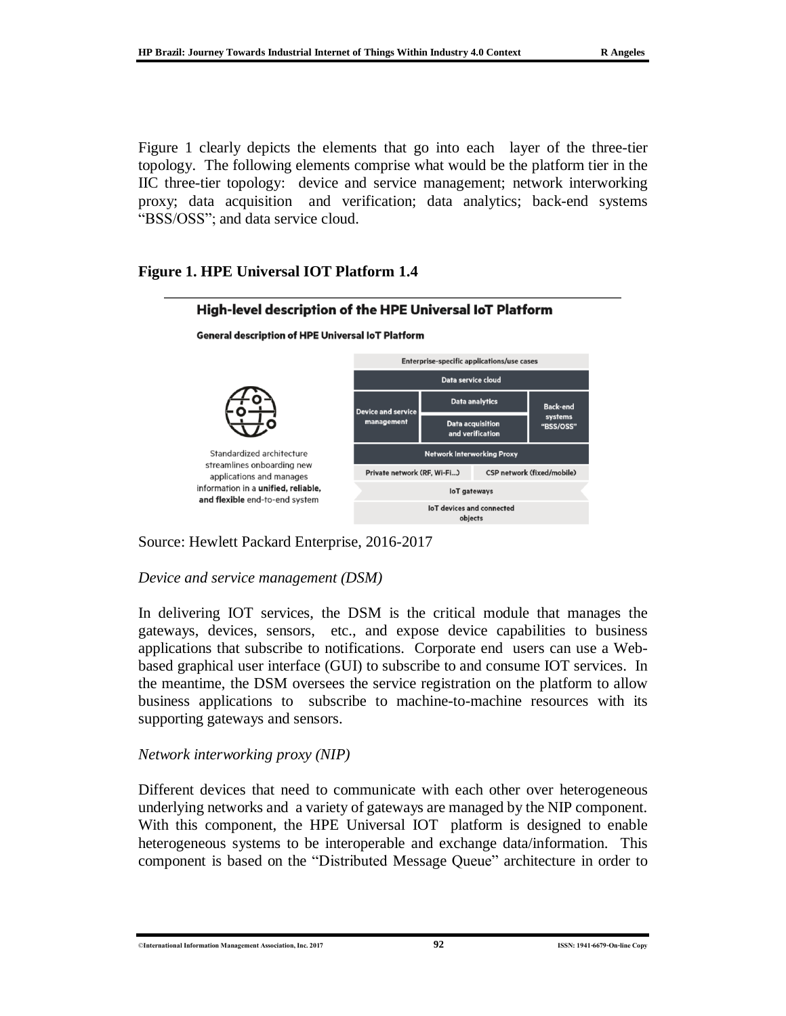Figure 1 clearly depicts the elements that go into each layer of the three-tier topology. The following elements comprise what would be the platform tier in the IIC three-tier topology: device and service management; network interworking proxy; data acquisition and verification; data analytics; back-end systems "BSS/OSS"; and data service cloud.

### **Figure 1. HPE Universal IOT Platform 1.4**



Source: Hewlett Packard Enterprise, 2016-2017

#### *Device and service management (DSM)*

In delivering IOT services, the DSM is the critical module that manages the gateways, devices, sensors, etc., and expose device capabilities to business applications that subscribe to notifications. Corporate end users can use a Webbased graphical user interface (GUI) to subscribe to and consume IOT services. In the meantime, the DSM oversees the service registration on the platform to allow business applications to subscribe to machine-to-machine resources with its supporting gateways and sensors.

### *Network interworking proxy (NIP)*

Different devices that need to communicate with each other over heterogeneous underlying networks and a variety of gateways are managed by the NIP component. With this component, the HPE Universal IOT platform is designed to enable heterogeneous systems to be interoperable and exchange data/information. This component is based on the "Distributed Message Queue" architecture in order to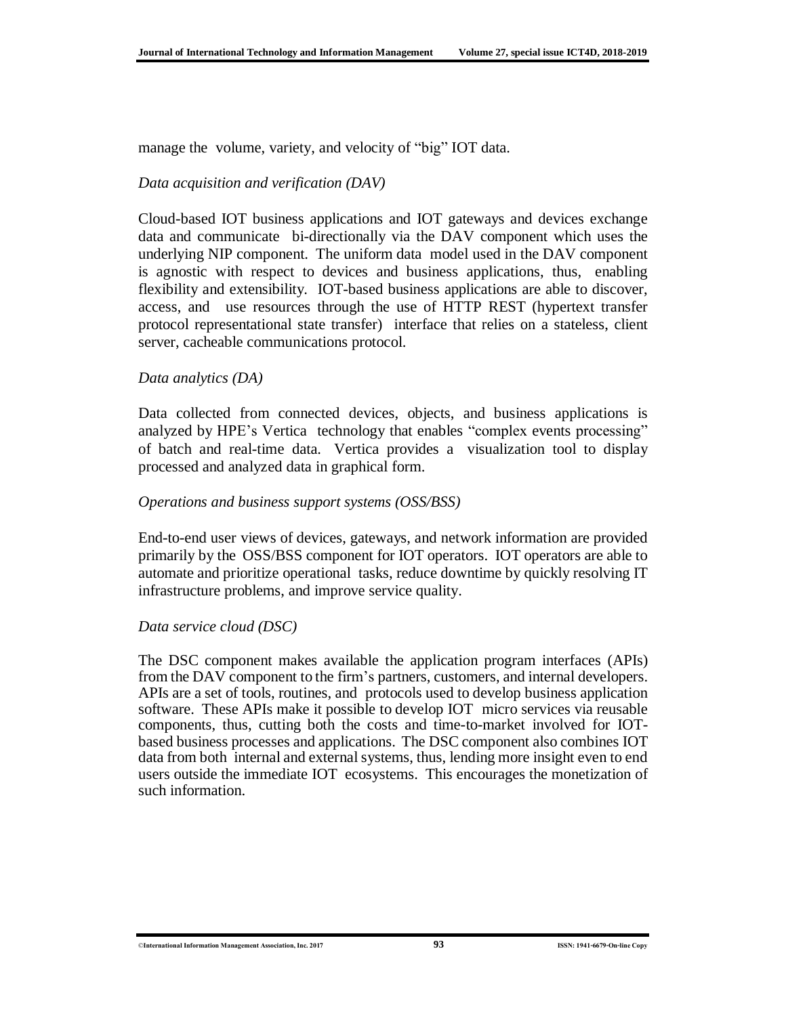manage the volume, variety, and velocity of "big" IOT data.

#### *Data acquisition and verification (DAV)*

Cloud-based IOT business applications and IOT gateways and devices exchange data and communicate bi-directionally via the DAV component which uses the underlying NIP component. The uniform data model used in the DAV component is agnostic with respect to devices and business applications, thus, enabling flexibility and extensibility. IOT-based business applications are able to discover, access, and use resources through the use of HTTP REST (hypertext transfer protocol representational state transfer) interface that relies on a stateless, client server, cacheable communications protocol.

#### *Data analytics (DA)*

Data collected from connected devices, objects, and business applications is analyzed by HPE's Vertica technology that enables "complex events processing" of batch and real-time data. Vertica provides a visualization tool to display processed and analyzed data in graphical form.

#### *Operations and business support systems (OSS/BSS)*

End-to-end user views of devices, gateways, and network information are provided primarily by the OSS/BSS component for IOT operators. IOT operators are able to automate and prioritize operational tasks, reduce downtime by quickly resolving IT infrastructure problems, and improve service quality.

#### *Data service cloud (DSC)*

The DSC component makes available the application program interfaces (APIs) from the DAV component to the firm's partners, customers, and internal developers. APIs are a set of tools, routines, and protocols used to develop business application software. These APIs make it possible to develop IOT micro services via reusable components, thus, cutting both the costs and time-to-market involved for IOTbased business processes and applications. The DSC component also combines IOT data from both internal and external systems, thus, lending more insight even to end users outside the immediate IOT ecosystems. This encourages the monetization of such information.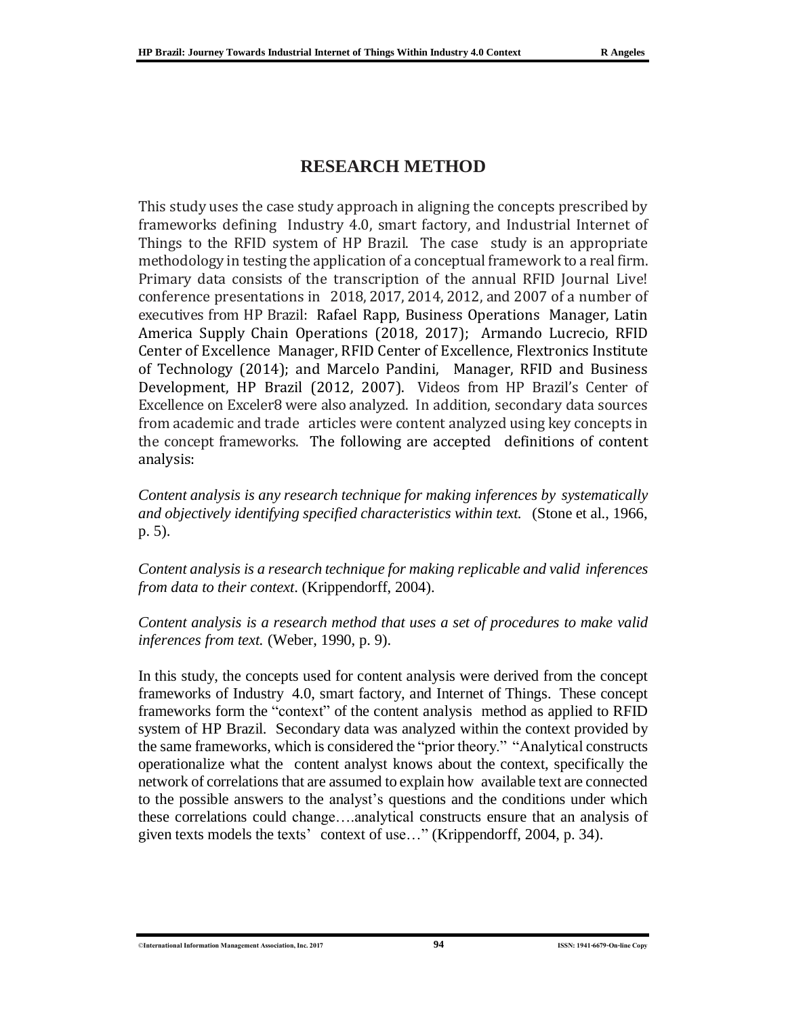## **RESEARCH METHOD**

This study uses the case study approach in aligning the concepts prescribed by frameworks defining Industry 4.0, smart factory, and Industrial Internet of Things to the RFID system of HP Brazil. The case study is an appropriate methodology in testing the application of a conceptual framework to a real firm. Primary data consists of the transcription of the annual RFID Journal Live! conference presentations in 2018, 2017, 2014, 2012, and 2007 of a number of executives from HP Brazil: Rafael Rapp, Business Operations Manager, Latin America Supply Chain Operations (2018, 2017); Armando Lucrecio, RFID Center of Excellence Manager, RFID Center of Excellence, Flextronics Institute of Technology (2014); and Marcelo Pandini, Manager, RFID and Business Development, HP Brazil (2012, 2007). Videos from HP Brazil's Center of Excellence on Exceler8 were also analyzed. In addition, secondary data sources from academic and trade articles were content analyzed using key concepts in the concept frameworks. The following are accepted definitions of content analysis:

*Content analysis is any research technique for making inferences by systematically and objectively identifying specified characteristics within text.* (Stone et al., 1966, p. 5).

*Content analysis is a research technique for making replicable and valid inferences from data to their context*. (Krippendorff, 2004).

*Content analysis is a research method that uses a set of procedures to make valid inferences from text.* (Weber, 1990, p. 9).

In this study, the concepts used for content analysis were derived from the concept frameworks of Industry 4.0, smart factory, and Internet of Things. These concept frameworks form the "context" of the content analysis method as applied to RFID system of HP Brazil. Secondary data was analyzed within the context provided by the same frameworks, which is considered the "prior theory." "Analytical constructs operationalize what the content analyst knows about the context, specifically the network of correlations that are assumed to explain how available text are connected to the possible answers to the analyst's questions and the conditions under which these correlations could change….analytical constructs ensure that an analysis of given texts models the texts' context of use…" (Krippendorff, 2004, p. 34).

©**International Information Management Association, Inc. 2017 94 ISSN: 1941-6679-On-line Copy**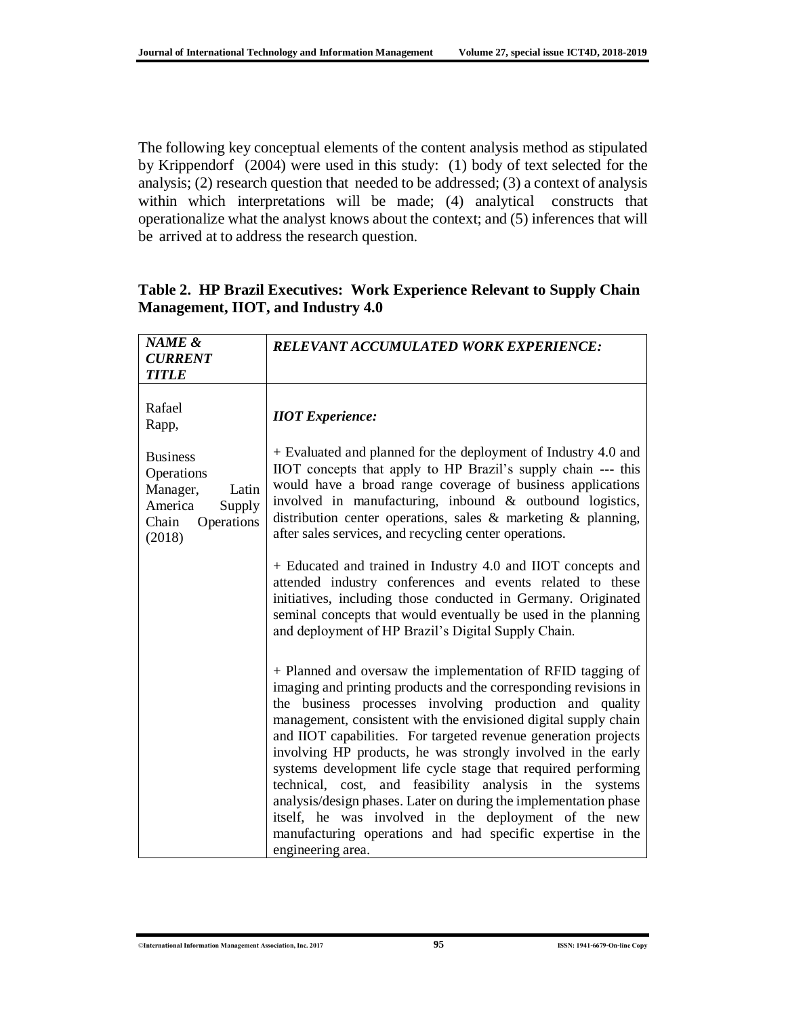The following key conceptual elements of the content analysis method as stipulated by Krippendorf (2004) were used in this study: (1) body of text selected for the analysis; (2) research question that needed to be addressed; (3) a context of analysis within which interpretations will be made; (4) analytical constructs that operationalize what the analyst knows about the context; and (5) inferences that will be arrived at to address the research question.

| NAME &<br><b>CURRENT</b><br><b>TITLE</b>                                                                 | <b>RELEVANT ACCUMULATED WORK EXPERIENCE:</b>                                                                                                                                                                                                                                                                                                                                                                                                                                                                                                                                                                                                                                                                                                 |
|----------------------------------------------------------------------------------------------------------|----------------------------------------------------------------------------------------------------------------------------------------------------------------------------------------------------------------------------------------------------------------------------------------------------------------------------------------------------------------------------------------------------------------------------------------------------------------------------------------------------------------------------------------------------------------------------------------------------------------------------------------------------------------------------------------------------------------------------------------------|
| Rafael<br>Rapp,                                                                                          | <b>IIOT</b> Experience:                                                                                                                                                                                                                                                                                                                                                                                                                                                                                                                                                                                                                                                                                                                      |
| <b>Business</b><br>Operations<br>Manager,<br>Latin<br>America<br>Supply<br>Chain<br>Operations<br>(2018) | + Evaluated and planned for the deployment of Industry 4.0 and<br>IIOT concepts that apply to HP Brazil's supply chain --- this<br>would have a broad range coverage of business applications<br>involved in manufacturing, inbound $&$ outbound logistics,<br>distribution center operations, sales $\&$ marketing $\&$ planning,<br>after sales services, and recycling center operations.                                                                                                                                                                                                                                                                                                                                                 |
|                                                                                                          | + Educated and trained in Industry 4.0 and IIOT concepts and<br>attended industry conferences and events related to these<br>initiatives, including those conducted in Germany. Originated<br>seminal concepts that would eventually be used in the planning<br>and deployment of HP Brazil's Digital Supply Chain.                                                                                                                                                                                                                                                                                                                                                                                                                          |
|                                                                                                          | + Planned and oversaw the implementation of RFID tagging of<br>imaging and printing products and the corresponding revisions in<br>the business processes involving production and quality<br>management, consistent with the envisioned digital supply chain<br>and IIOT capabilities. For targeted revenue generation projects<br>involving HP products, he was strongly involved in the early<br>systems development life cycle stage that required performing<br>technical, cost, and feasibility analysis in the systems<br>analysis/design phases. Later on during the implementation phase<br>itself, he was involved in the deployment of the new<br>manufacturing operations and had specific expertise in the<br>engineering area. |

### **Table 2. HP Brazil Executives: Work Experience Relevant to Supply Chain Management, IIOT, and Industry 4.0**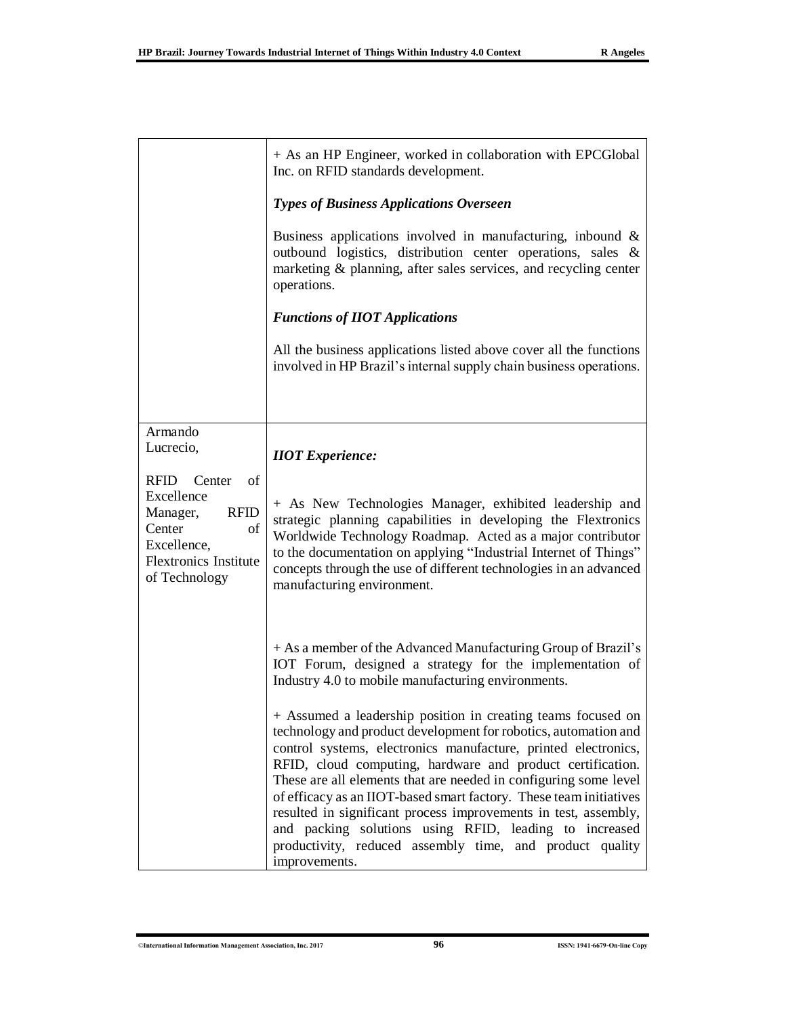|                                                                                                                                               | + As an HP Engineer, worked in collaboration with EPCGlobal<br>Inc. on RFID standards development.                                                                                                                                                                                                                                                                                                                                                                                                                                                                                                                  |  |  |
|-----------------------------------------------------------------------------------------------------------------------------------------------|---------------------------------------------------------------------------------------------------------------------------------------------------------------------------------------------------------------------------------------------------------------------------------------------------------------------------------------------------------------------------------------------------------------------------------------------------------------------------------------------------------------------------------------------------------------------------------------------------------------------|--|--|
|                                                                                                                                               | <b>Types of Business Applications Overseen</b>                                                                                                                                                                                                                                                                                                                                                                                                                                                                                                                                                                      |  |  |
|                                                                                                                                               | Business applications involved in manufacturing, inbound $\&$<br>outbound logistics, distribution center operations, sales &<br>marketing & planning, after sales services, and recycling center<br>operations.                                                                                                                                                                                                                                                                                                                                                                                                     |  |  |
|                                                                                                                                               | <b>Functions of IIOT Applications</b>                                                                                                                                                                                                                                                                                                                                                                                                                                                                                                                                                                               |  |  |
|                                                                                                                                               | All the business applications listed above cover all the functions<br>involved in HP Brazil's internal supply chain business operations.                                                                                                                                                                                                                                                                                                                                                                                                                                                                            |  |  |
| Armando                                                                                                                                       |                                                                                                                                                                                                                                                                                                                                                                                                                                                                                                                                                                                                                     |  |  |
| Lucrecio,                                                                                                                                     | <b>IIOT</b> Experience:                                                                                                                                                                                                                                                                                                                                                                                                                                                                                                                                                                                             |  |  |
| RFID<br>Center<br>of<br>Excellence<br><b>RFID</b><br>Manager,<br>Center<br>of<br>Excellence,<br><b>Flextronics Institute</b><br>of Technology | + As New Technologies Manager, exhibited leadership and<br>strategic planning capabilities in developing the Flextronics<br>Worldwide Technology Roadmap. Acted as a major contributor<br>to the documentation on applying "Industrial Internet of Things"<br>concepts through the use of different technologies in an advanced<br>manufacturing environment.                                                                                                                                                                                                                                                       |  |  |
|                                                                                                                                               | + As a member of the Advanced Manufacturing Group of Brazil's<br>IOT Forum, designed a strategy for the implementation of<br>Industry 4.0 to mobile manufacturing environments.                                                                                                                                                                                                                                                                                                                                                                                                                                     |  |  |
|                                                                                                                                               | + Assumed a leadership position in creating teams focused on<br>technology and product development for robotics, automation and<br>control systems, electronics manufacture, printed electronics,<br>RFID, cloud computing, hardware and product certification.<br>These are all elements that are needed in configuring some level<br>of efficacy as an IIOT-based smart factory. These team initiatives<br>resulted in significant process improvements in test, assembly,<br>and packing solutions using RFID, leading to increased<br>productivity, reduced assembly time, and product quality<br>improvements. |  |  |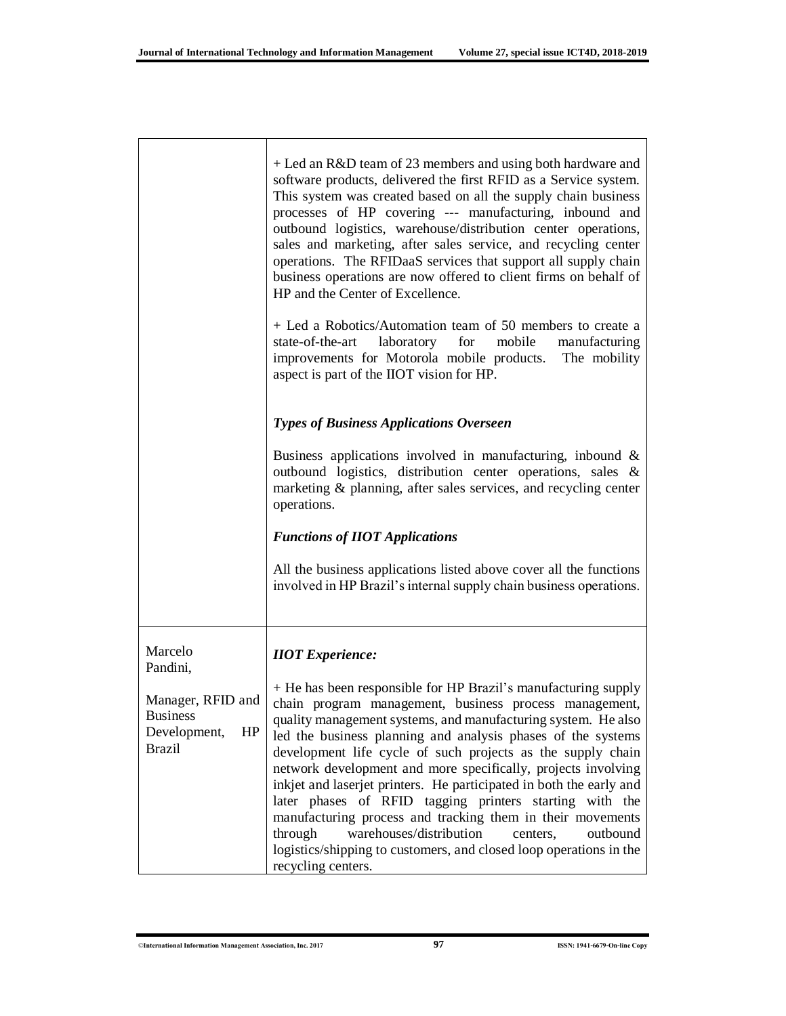|                                                                             | + Led an R&D team of 23 members and using both hardware and<br>software products, delivered the first RFID as a Service system.<br>This system was created based on all the supply chain business<br>processes of HP covering --- manufacturing, inbound and<br>outbound logistics, warehouse/distribution center operations,<br>sales and marketing, after sales service, and recycling center<br>operations. The RFIDaaS services that support all supply chain<br>business operations are now offered to client firms on behalf of<br>HP and the Center of Excellence.<br>+ Led a Robotics/Automation team of 50 members to create a<br>state-of-the-art<br>laboratory<br>for<br>mobile<br>manufacturing<br>improvements for Motorola mobile products. The mobility<br>aspect is part of the IIOT vision for HP. |
|-----------------------------------------------------------------------------|---------------------------------------------------------------------------------------------------------------------------------------------------------------------------------------------------------------------------------------------------------------------------------------------------------------------------------------------------------------------------------------------------------------------------------------------------------------------------------------------------------------------------------------------------------------------------------------------------------------------------------------------------------------------------------------------------------------------------------------------------------------------------------------------------------------------|
|                                                                             | <b>Types of Business Applications Overseen</b>                                                                                                                                                                                                                                                                                                                                                                                                                                                                                                                                                                                                                                                                                                                                                                      |
|                                                                             | Business applications involved in manufacturing, inbound $\&$<br>outbound logistics, distribution center operations, sales &<br>marketing & planning, after sales services, and recycling center<br>operations.                                                                                                                                                                                                                                                                                                                                                                                                                                                                                                                                                                                                     |
|                                                                             | <b>Functions of IIOT Applications</b>                                                                                                                                                                                                                                                                                                                                                                                                                                                                                                                                                                                                                                                                                                                                                                               |
|                                                                             | All the business applications listed above cover all the functions<br>involved in HP Brazil's internal supply chain business operations.                                                                                                                                                                                                                                                                                                                                                                                                                                                                                                                                                                                                                                                                            |
| Marcelo<br>Pandini,                                                         | <b>IIOT</b> Experience:                                                                                                                                                                                                                                                                                                                                                                                                                                                                                                                                                                                                                                                                                                                                                                                             |
| Manager, RFID and<br><b>Business</b><br>HP<br>Development,<br><b>Brazil</b> | + He has been responsible for HP Brazil's manufacturing supply<br>chain program management, business process management,<br>quality management systems, and manufacturing system. He also<br>led the business planning and analysis phases of the systems<br>development life cycle of such projects as the supply chain<br>network development and more specifically, projects involving<br>inkjet and laserjet printers. He participated in both the early and<br>later phases of RFID tagging printers starting with the<br>manufacturing process and tracking them in their movements<br>warehouses/distribution<br>through<br>outbound<br>centers,<br>logistics/shipping to customers, and closed loop operations in the<br>recycling centers.                                                                 |

Г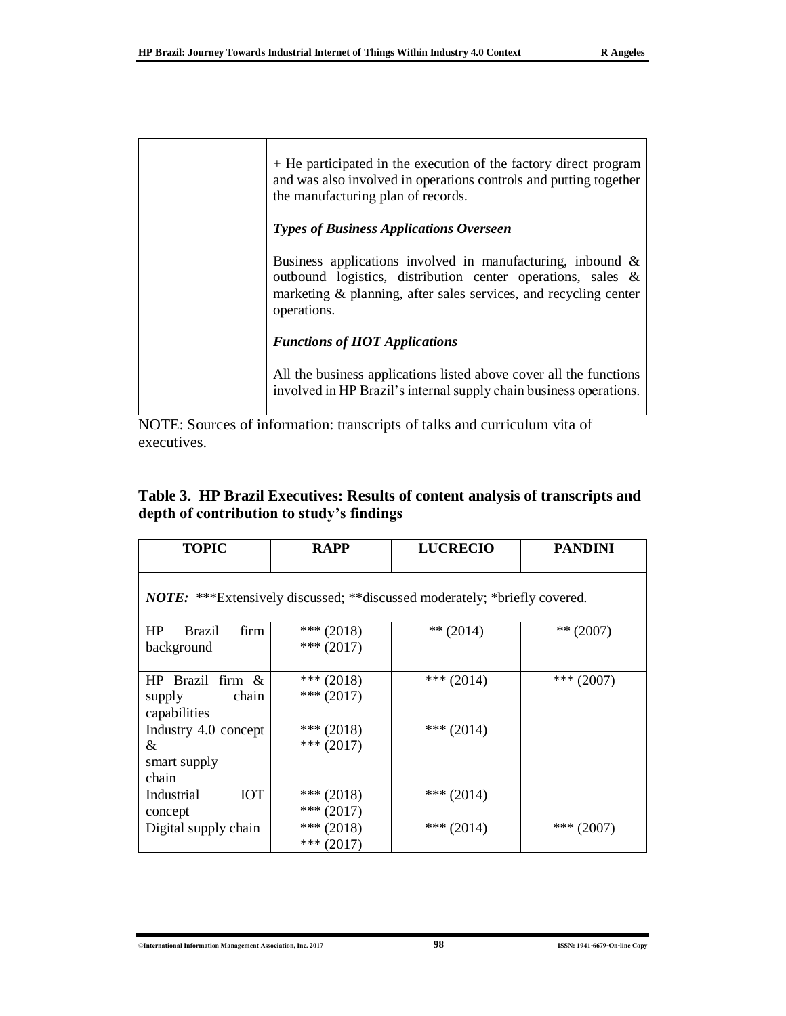| + He participated in the execution of the factory direct program<br>and was also involved in operations controls and putting together<br>the manufacturing plan of records.                                     |
|-----------------------------------------------------------------------------------------------------------------------------------------------------------------------------------------------------------------|
| <b>Types of Business Applications Overseen</b>                                                                                                                                                                  |
| Business applications involved in manufacturing, inbound $\&$<br>outbound logistics, distribution center operations, sales &<br>marketing & planning, after sales services, and recycling center<br>operations. |
| <b>Functions of IIOT Applications</b>                                                                                                                                                                           |
| All the business applications listed above cover all the functions<br>involved in HP Brazil's internal supply chain business operations.                                                                        |

NOTE: Sources of information: transcripts of talks and curriculum vita of executives.

| Table 3. HP Brazil Executives: Results of content analysis of transcripts and |  |  |
|-------------------------------------------------------------------------------|--|--|
| depth of contribution to study's findings                                     |  |  |

| <b>TOPIC</b>                                           | <b>RAPP</b>                  | <b>LUCRECIO</b>                                                                  | <b>PANDINI</b> |
|--------------------------------------------------------|------------------------------|----------------------------------------------------------------------------------|----------------|
|                                                        |                              | <b>NOTE:</b> ***Extensively discussed; **discussed moderately; *briefly covered. |                |
| HP<br><b>Brazil</b><br>firm<br>background              | *** $(2018)$<br>$*** (2017)$ | $** (2014)$                                                                      | ** $(2007)$    |
| HP Brazil firm $\&$<br>chain<br>supply<br>capabilities | *** $(2018)$<br>*** $(2017)$ | *** $(2014)$                                                                     | *** $(2007)$   |
| Industry 4.0 concept<br>&<br>smart supply<br>chain     | *** $(2018)$<br>$*** (2017)$ | *** $(2014)$                                                                     |                |
| <b>IOT</b><br>Industrial<br>concept                    | *** $(2018)$<br>$*** (2017)$ | *** $(2014)$                                                                     |                |
| Digital supply chain                                   | *** $(2018)$<br>*** $(2017)$ | *** $(2014)$                                                                     | *** $(2007)$   |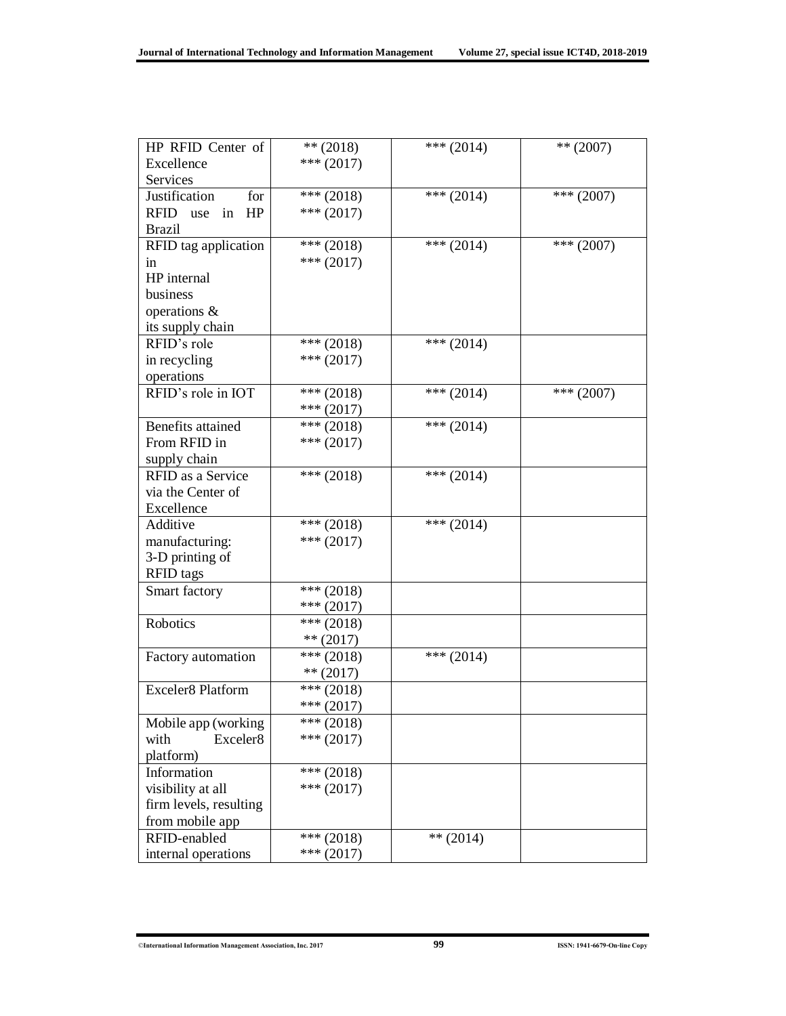| HP RFID Center of                                                                                                                                                                                               | $** (2018)$                                                                                                                                                                | *** $(2014)$                | $** (2007)$  |
|-----------------------------------------------------------------------------------------------------------------------------------------------------------------------------------------------------------------|----------------------------------------------------------------------------------------------------------------------------------------------------------------------------|-----------------------------|--------------|
| Excellence                                                                                                                                                                                                      | $*** (2017)$                                                                                                                                                               |                             |              |
| Services                                                                                                                                                                                                        |                                                                                                                                                                            |                             |              |
| for<br>Justification                                                                                                                                                                                            | $*** (2018)$                                                                                                                                                               | *** $(2014)$                | *** $(2007)$ |
| RFID use in HP                                                                                                                                                                                                  | $*** (2017)$                                                                                                                                                               |                             |              |
| <b>Brazil</b>                                                                                                                                                                                                   |                                                                                                                                                                            |                             |              |
| RFID tag application                                                                                                                                                                                            | $**$ (2018)                                                                                                                                                                | *** $(2014)$                | *** $(2007)$ |
| in                                                                                                                                                                                                              | $*** (2017)$                                                                                                                                                               |                             |              |
| HP internal                                                                                                                                                                                                     |                                                                                                                                                                            |                             |              |
| business                                                                                                                                                                                                        |                                                                                                                                                                            |                             |              |
| operations &                                                                                                                                                                                                    |                                                                                                                                                                            |                             |              |
| its supply chain                                                                                                                                                                                                |                                                                                                                                                                            |                             |              |
| RFID's role                                                                                                                                                                                                     | *** $(2018)$                                                                                                                                                               | *** $(2014)$                |              |
| in recycling                                                                                                                                                                                                    | *** $(2017)$                                                                                                                                                               |                             |              |
| operations                                                                                                                                                                                                      |                                                                                                                                                                            |                             |              |
| RFID's role in IOT                                                                                                                                                                                              | $\sqrt{***(2018)}$                                                                                                                                                         | *** $(2014)$                | *** $(2007)$ |
|                                                                                                                                                                                                                 | $*** (2017)$                                                                                                                                                               |                             |              |
| Benefits attained                                                                                                                                                                                               | $*** (2018)$                                                                                                                                                               | *** $(2014)$                |              |
| From RFID in                                                                                                                                                                                                    | $*** (2017)$                                                                                                                                                               |                             |              |
| supply chain                                                                                                                                                                                                    |                                                                                                                                                                            |                             |              |
| RFID as a Service                                                                                                                                                                                               | $*** (2018)$                                                                                                                                                               | *** $(2014)$                |              |
| via the Center of                                                                                                                                                                                               |                                                                                                                                                                            |                             |              |
| Excellence                                                                                                                                                                                                      |                                                                                                                                                                            |                             |              |
| Additive                                                                                                                                                                                                        | $*** (2018)$                                                                                                                                                               | *** $(2014)$                |              |
| manufacturing:                                                                                                                                                                                                  | $*** (2017)$                                                                                                                                                               |                             |              |
| 3-D printing of                                                                                                                                                                                                 |                                                                                                                                                                            |                             |              |
| <b>RFID</b> tags                                                                                                                                                                                                |                                                                                                                                                                            |                             |              |
| Smart factory                                                                                                                                                                                                   | $*** (2018)$                                                                                                                                                               |                             |              |
|                                                                                                                                                                                                                 | $***(2017)$                                                                                                                                                                |                             |              |
| Robotics                                                                                                                                                                                                        | $*** (2018)$                                                                                                                                                               |                             |              |
|                                                                                                                                                                                                                 |                                                                                                                                                                            |                             |              |
|                                                                                                                                                                                                                 |                                                                                                                                                                            |                             |              |
|                                                                                                                                                                                                                 |                                                                                                                                                                            |                             |              |
|                                                                                                                                                                                                                 |                                                                                                                                                                            |                             |              |
|                                                                                                                                                                                                                 |                                                                                                                                                                            |                             |              |
|                                                                                                                                                                                                                 |                                                                                                                                                                            |                             |              |
| with                                                                                                                                                                                                            |                                                                                                                                                                            |                             |              |
|                                                                                                                                                                                                                 |                                                                                                                                                                            |                             |              |
|                                                                                                                                                                                                                 |                                                                                                                                                                            |                             |              |
|                                                                                                                                                                                                                 |                                                                                                                                                                            |                             |              |
|                                                                                                                                                                                                                 |                                                                                                                                                                            |                             |              |
|                                                                                                                                                                                                                 |                                                                                                                                                                            |                             |              |
|                                                                                                                                                                                                                 |                                                                                                                                                                            |                             |              |
|                                                                                                                                                                                                                 |                                                                                                                                                                            |                             |              |
| Factory automation<br>Exceler8 Platform<br>Mobile app (working<br>Exceler8<br>platform)<br>Information<br>visibility at all<br>firm levels, resulting<br>from mobile app<br>RFID-enabled<br>internal operations | $** (2017)$<br>$*** (2018)$<br>$** (2017)$<br>$*** (2018)$<br>$*** (2017)$<br>$*** (2018)$<br>$*** (2017)$<br>*** $(2018)$<br>$*** (2017)$<br>$*** (2018)$<br>$*** (2017)$ | *** $(2014)$<br>$** (2014)$ |              |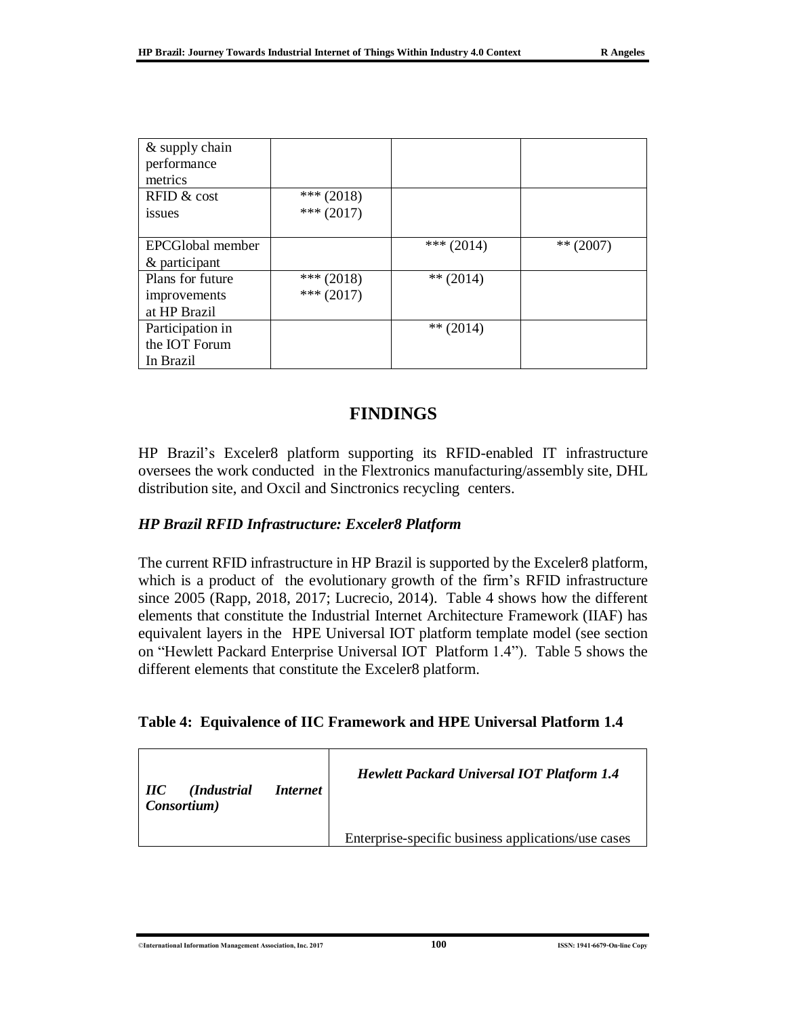| & supply chain   |              |              |             |
|------------------|--------------|--------------|-------------|
| performance      |              |              |             |
| metrics          |              |              |             |
| RFID & cost      | *** $(2018)$ |              |             |
| issues           | $*** (2017)$ |              |             |
|                  |              |              |             |
| EPCGlobal member |              | *** $(2014)$ | $** (2007)$ |
| & participant    |              |              |             |
| Plans for future | *** $(2018)$ | ** $(2014)$  |             |
| improvements     | $*** (2017)$ |              |             |
| at HP Brazil     |              |              |             |
| Participation in |              | $** (2014)$  |             |
| the IOT Forum    |              |              |             |
| In Brazil        |              |              |             |

## **FINDINGS**

HP Brazil's Exceler8 platform supporting its RFID-enabled IT infrastructure oversees the work conducted in the Flextronics manufacturing/assembly site, DHL distribution site, and Oxcil and Sinctronics recycling centers.

### *HP Brazil RFID Infrastructure: Exceler8 Platform*

The current RFID infrastructure in HP Brazil is supported by the Exceler8 platform, which is a product of the evolutionary growth of the firm's RFID infrastructure since 2005 (Rapp, 2018, 2017; Lucrecio, 2014). Table 4 shows how the different elements that constitute the Industrial Internet Architecture Framework (IIAF) has equivalent layers in the HPE Universal IOT platform template model (see section on "Hewlett Packard Enterprise Universal IOT Platform 1.4"). Table 5 shows the different elements that constitute the Exceler8 platform.

#### **Table 4: Equivalence of IIC Framework and HPE Universal Platform 1.4**

| <b>IIC</b> (Industrial<br>Internet<br>Consortium) | <b>Hewlett Packard Universal IOT Platform 1.4</b>   |
|---------------------------------------------------|-----------------------------------------------------|
|                                                   | Enterprise-specific business applications/use cases |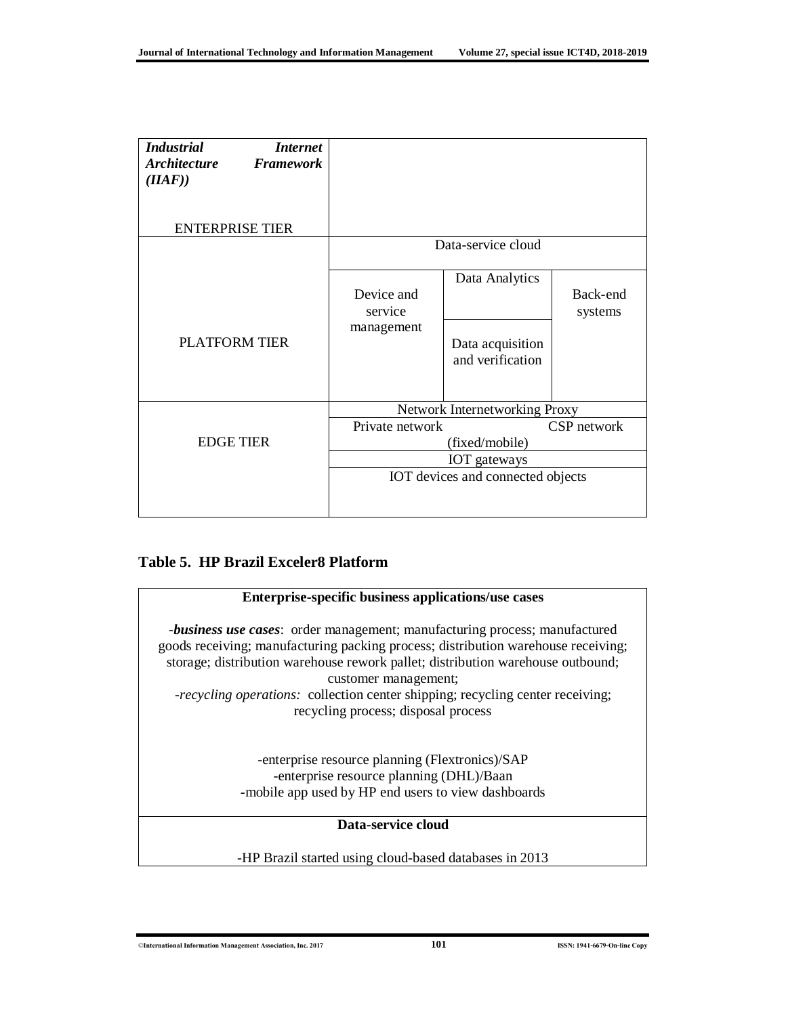|                                                          | Data Analytics                       |                     |
|----------------------------------------------------------|--------------------------------------|---------------------|
| service                                                  |                                      | Back-end<br>systems |
|                                                          | Data acquisition<br>and verification |                     |
| Network Internetworking Proxy                            |                                      |                     |
| Private network<br>CSP network<br>(fixed/mobile)         |                                      |                     |
| <b>IOT</b> gateways<br>IOT devices and connected objects |                                      |                     |
|                                                          | Device and<br>management             | Data-service cloud  |

### **Table 5. HP Brazil Exceler8 Platform**

| Enterprise-specific business applications/use cases                                                                                                                                                                                                                               |  |  |  |
|-----------------------------------------------------------------------------------------------------------------------------------------------------------------------------------------------------------------------------------------------------------------------------------|--|--|--|
| <i>-business use cases:</i> order management; manufacturing process; manufactured<br>goods receiving; manufacturing packing process; distribution warehouse receiving;<br>storage; distribution warehouse rework pallet; distribution warehouse outbound;<br>customer management; |  |  |  |
| -recycling operations: collection center shipping; recycling center receiving;                                                                                                                                                                                                    |  |  |  |
| recycling process; disposal process                                                                                                                                                                                                                                               |  |  |  |
| -enterprise resource planning (Flextronics)/SAP<br>-enterprise resource planning (DHL)/Baan<br>-mobile app used by HP end users to view dashboards                                                                                                                                |  |  |  |
| Data-service cloud                                                                                                                                                                                                                                                                |  |  |  |
| -HP Brazil started using cloud-based databases in 2013                                                                                                                                                                                                                            |  |  |  |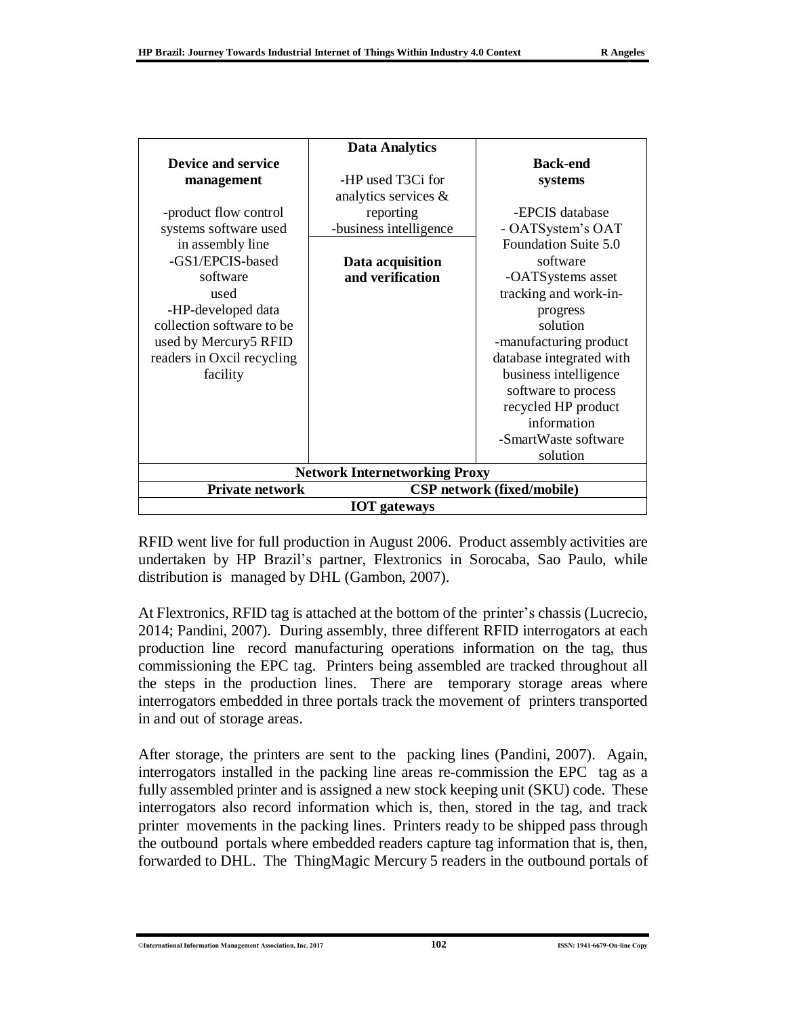|                                      | <b>Data Analytics</b>             |                          |  |  |
|--------------------------------------|-----------------------------------|--------------------------|--|--|
| <b>Device and service</b>            |                                   | <b>Back-end</b>          |  |  |
| management                           | -HP used T3Ci for                 | systems                  |  |  |
|                                      | analytics services $\&$           |                          |  |  |
| -product flow control                | reporting                         | -EPCIS database          |  |  |
| systems software used                | -business intelligence            | - OATSystem's OAT        |  |  |
| in assembly line                     |                                   | Foundation Suite 5.0     |  |  |
| -GS1/EPCIS-based                     | Data acquisition                  | software                 |  |  |
| software                             | and verification                  | -OATSystems asset        |  |  |
| used                                 |                                   | tracking and work-in-    |  |  |
| -HP-developed data                   |                                   | progress                 |  |  |
| collection software to be            |                                   | solution                 |  |  |
| used by Mercury5 RFID                |                                   | -manufacturing product   |  |  |
| readers in Oxcil recycling           |                                   | database integrated with |  |  |
| facility                             |                                   | business intelligence    |  |  |
|                                      |                                   | software to process      |  |  |
|                                      |                                   | recycled HP product      |  |  |
|                                      |                                   | information              |  |  |
|                                      |                                   | -SmartWaste software     |  |  |
|                                      |                                   | solution                 |  |  |
| <b>Network Internetworking Proxy</b> |                                   |                          |  |  |
| Private network                      | <b>CSP</b> network (fixed/mobile) |                          |  |  |
| <b>IOT</b> gateways                  |                                   |                          |  |  |

RFID went live for full production in August 2006. Product assembly activities are undertaken by HP Brazil's partner, Flextronics in Sorocaba, Sao Paulo, while distribution is managed by DHL (Gambon, 2007).

At Flextronics, RFID tag is attached at the bottom of the printer's chassis (Lucrecio, 2014; Pandini, 2007). During assembly, three different RFID interrogators at each production line record manufacturing operations information on the tag, thus commissioning the EPC tag. Printers being assembled are tracked throughout all the steps in the production lines. There are temporary storage areas where interrogators embedded in three portals track the movement of printers transported in and out of storage areas.

After storage, the printers are sent to the packing lines (Pandini, 2007). Again, interrogators installed in the packing line areas re-commission the EPC tag as a fully assembled printer and is assigned a new stock keeping unit (SKU) code. These interrogators also record information which is, then, stored in the tag, and track printer movements in the packing lines. Printers ready to be shipped pass through the outbound portals where embedded readers capture tag information that is, then, forwarded to DHL. The ThingMagic Mercury 5 readers in the outbound portals of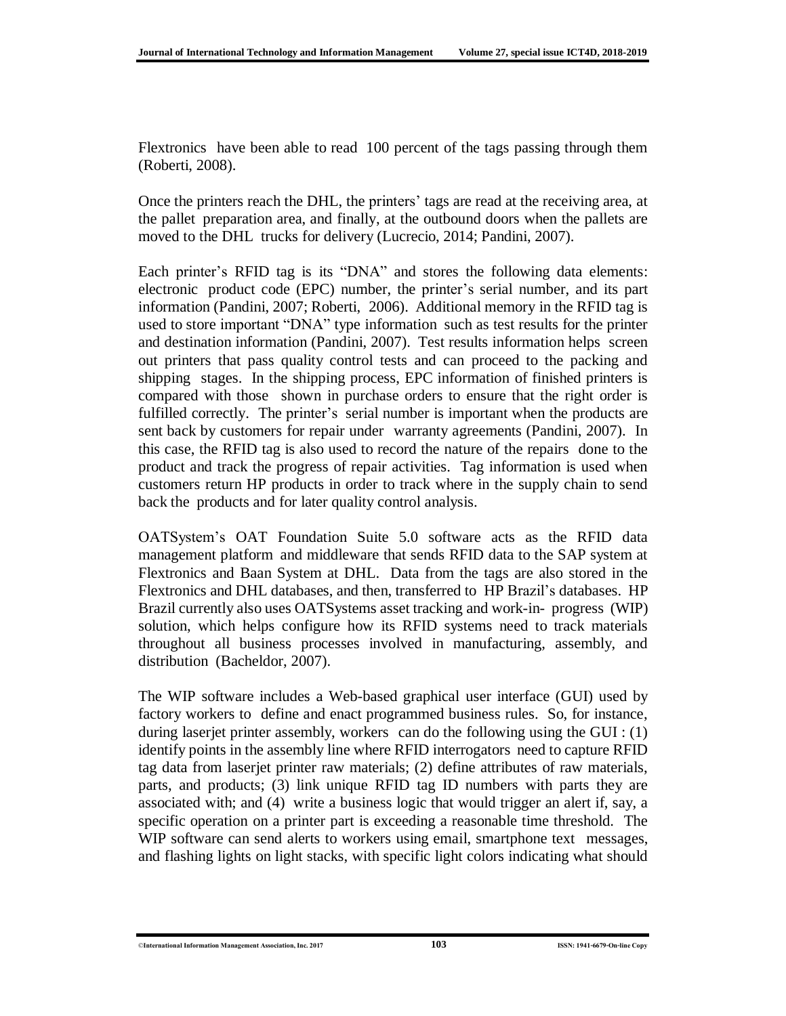Flextronics have been able to read 100 percent of the tags passing through them (Roberti, 2008).

Once the printers reach the DHL, the printers' tags are read at the receiving area, at the pallet preparation area, and finally, at the outbound doors when the pallets are moved to the DHL trucks for delivery (Lucrecio, 2014; Pandini, 2007).

Each printer's RFID tag is its "DNA" and stores the following data elements: electronic product code (EPC) number, the printer's serial number, and its part information (Pandini, 2007; Roberti, 2006). Additional memory in the RFID tag is used to store important "DNA" type information such as test results for the printer and destination information (Pandini, 2007). Test results information helps screen out printers that pass quality control tests and can proceed to the packing and shipping stages. In the shipping process, EPC information of finished printers is compared with those shown in purchase orders to ensure that the right order is fulfilled correctly. The printer's serial number is important when the products are sent back by customers for repair under warranty agreements (Pandini, 2007). In this case, the RFID tag is also used to record the nature of the repairs done to the product and track the progress of repair activities. Tag information is used when customers return HP products in order to track where in the supply chain to send back the products and for later quality control analysis.

OATSystem's OAT Foundation Suite 5.0 software acts as the RFID data management platform and middleware that sends RFID data to the SAP system at Flextronics and Baan System at DHL. Data from the tags are also stored in the Flextronics and DHL databases, and then, transferred to HP Brazil's databases. HP Brazil currently also uses OATSystems asset tracking and work-in- progress (WIP) solution, which helps configure how its RFID systems need to track materials throughout all business processes involved in manufacturing, assembly, and distribution (Bacheldor, 2007).

The WIP software includes a Web-based graphical user interface (GUI) used by factory workers to define and enact programmed business rules. So, for instance, during laserjet printer assembly, workers can do the following using the GUI : (1) identify points in the assembly line where RFID interrogators need to capture RFID tag data from laserjet printer raw materials; (2) define attributes of raw materials, parts, and products; (3) link unique RFID tag ID numbers with parts they are associated with; and (4) write a business logic that would trigger an alert if, say, a specific operation on a printer part is exceeding a reasonable time threshold. The WIP software can send alerts to workers using email, smartphone text messages, and flashing lights on light stacks, with specific light colors indicating what should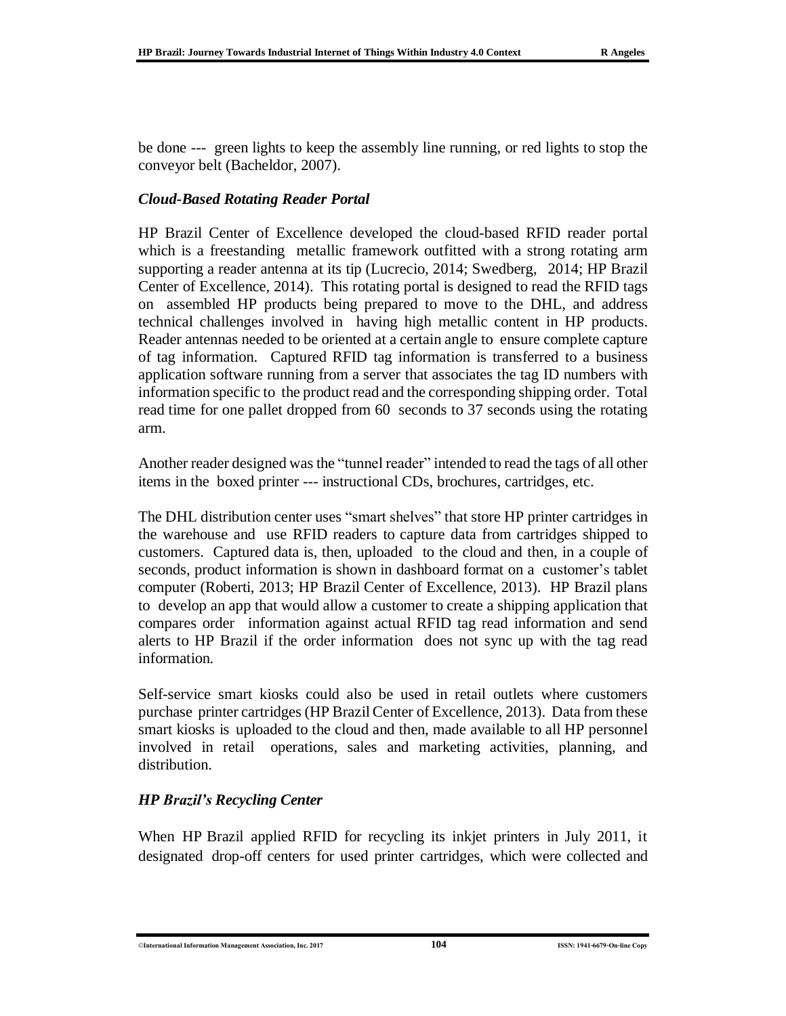be done --- green lights to keep the assembly line running, or red lights to stop the conveyor belt (Bacheldor, 2007).

### *Cloud-Based Rotating Reader Portal*

HP Brazil Center of Excellence developed the cloud-based RFID reader portal which is a freestanding metallic framework outfitted with a strong rotating arm supporting a reader antenna at its tip (Lucrecio, 2014; Swedberg, 2014; HP Brazil Center of Excellence, 2014). This rotating portal is designed to read the RFID tags on assembled HP products being prepared to move to the DHL, and address technical challenges involved in having high metallic content in HP products. Reader antennas needed to be oriented at a certain angle to ensure complete capture of tag information. Captured RFID tag information is transferred to a business application software running from a server that associates the tag ID numbers with information specific to the product read and the corresponding shipping order. Total read time for one pallet dropped from 60 seconds to 37 seconds using the rotating arm.

Another reader designed was the "tunnel reader" intended to read the tags of all other items in the boxed printer --- instructional CDs, brochures, cartridges, etc.

The DHL distribution center uses "smart shelves" that store HP printer cartridges in the warehouse and use RFID readers to capture data from cartridges shipped to customers. Captured data is, then, uploaded to the cloud and then, in a couple of seconds, product information is shown in dashboard format on a customer's tablet computer (Roberti, 2013; HP Brazil Center of Excellence, 2013). HP Brazil plans to develop an app that would allow a customer to create a shipping application that compares order information against actual RFID tag read information and send alerts to HP Brazil if the order information does not sync up with the tag read information.

Self-service smart kiosks could also be used in retail outlets where customers purchase printer cartridges (HP Brazil Center of Excellence, 2013). Data from these smart kiosks is uploaded to the cloud and then, made available to all HP personnel involved in retail operations, sales and marketing activities, planning, and distribution.

### *HP Brazil's Recycling Center*

When HP Brazil applied RFID for recycling its inkjet printers in July 2011, it designated drop-off centers for used printer cartridges, which were collected and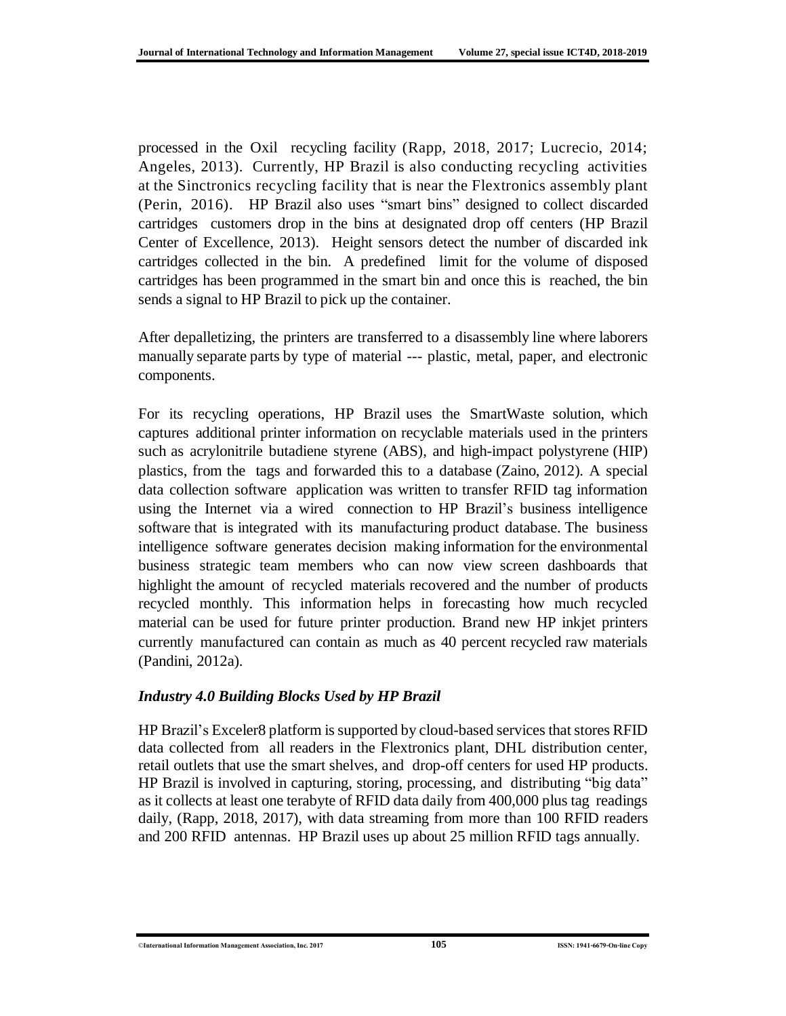processed in the Oxil recycling facility (Rapp, 2018, 2017; Lucrecio, 2014; Angeles, 2013). Currently, HP Brazil is also conducting recycling activities at the Sinctronics recycling facility that is near the Flextronics assembly plant (Perin, 2016). HP Brazil also uses "smart bins" designed to collect discarded cartridges customers drop in the bins at designated drop off centers (HP Brazil Center of Excellence, 2013). Height sensors detect the number of discarded ink cartridges collected in the bin. A predefined limit for the volume of disposed cartridges has been programmed in the smart bin and once this is reached, the bin sends a signal to HP Brazil to pick up the container.

After depalletizing, the printers are transferred to a disassembly line where laborers manually separate parts by type of material --- plastic, metal, paper, and electronic components.

For its recycling operations, HP Brazil uses the SmartWaste solution, which captures additional printer information on recyclable materials used in the printers such as acrylonitrile butadiene styrene (ABS), and high-impact polystyrene (HIP) plastics, from the tags and forwarded this to a database (Zaino, 2012). A special data collection software application was written to transfer RFID tag information using the Internet via a wired connection to HP Brazil's business intelligence software that is integrated with its manufacturing product database. The business intelligence software generates decision making information for the environmental business strategic team members who can now view screen dashboards that highlight the amount of recycled materials recovered and the number of products recycled monthly. This information helps in forecasting how much recycled material can be used for future printer production. Brand new HP inkjet printers currently manufactured can contain as much as 40 percent recycled raw materials (Pandini, 2012a).

### *Industry 4.0 Building Blocks Used by HP Brazil*

HP Brazil's Exceler8 platform is supported by cloud-based services thatstores RFID data collected from all readers in the Flextronics plant, DHL distribution center, retail outlets that use the smart shelves, and drop-off centers for used HP products. HP Brazil is involved in capturing, storing, processing, and distributing "big data" as it collects at least one terabyte of RFID data daily from 400,000 plus tag readings daily, (Rapp, 2018, 2017), with data streaming from more than 100 RFID readers and 200 RFID antennas. HP Brazil uses up about 25 million RFID tags annually.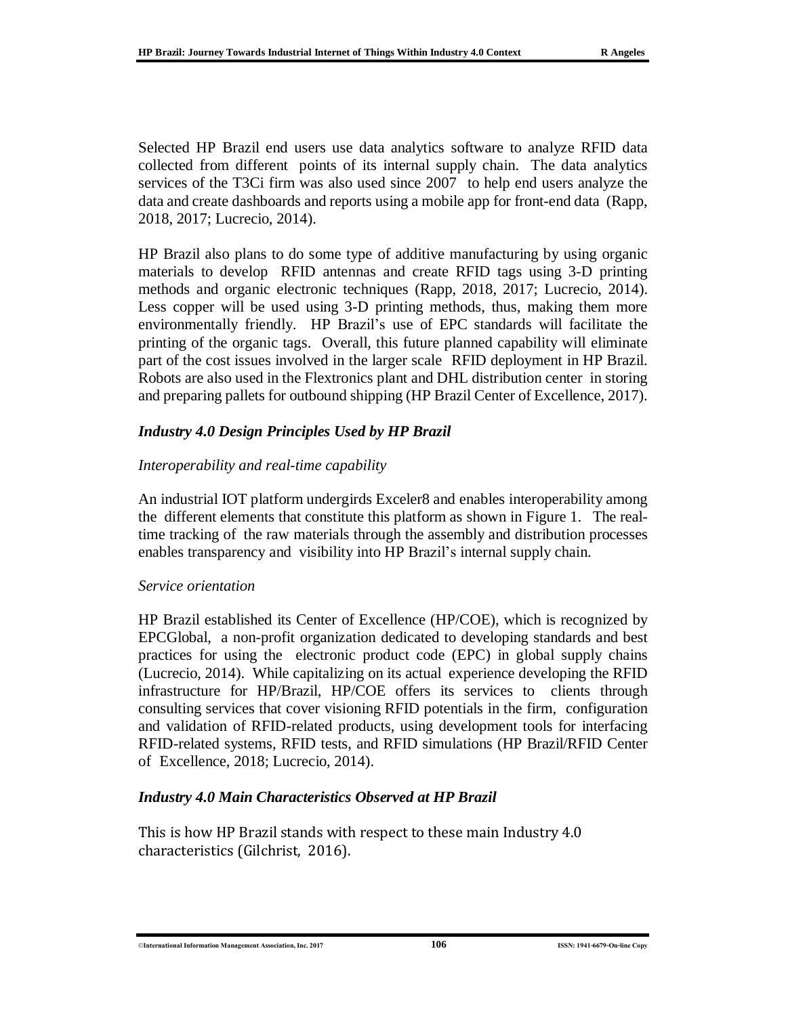Selected HP Brazil end users use data analytics software to analyze RFID data collected from different points of its internal supply chain. The data analytics services of the T3Ci firm was also used since 2007 to help end users analyze the data and create dashboards and reports using a mobile app for front-end data (Rapp, 2018, 2017; Lucrecio, 2014).

HP Brazil also plans to do some type of additive manufacturing by using organic materials to develop RFID antennas and create RFID tags using 3-D printing methods and organic electronic techniques (Rapp, 2018, 2017; Lucrecio, 2014). Less copper will be used using 3-D printing methods, thus, making them more environmentally friendly. HP Brazil's use of EPC standards will facilitate the printing of the organic tags. Overall, this future planned capability will eliminate part of the cost issues involved in the larger scale RFID deployment in HP Brazil. Robots are also used in the Flextronics plant and DHL distribution center in storing and preparing pallets for outbound shipping (HP Brazil Center of Excellence, 2017).

### *Industry 4.0 Design Principles Used by HP Brazil*

### *Interoperability and real-time capability*

An industrial IOT platform undergirds Exceler8 and enables interoperability among the different elements that constitute this platform as shown in Figure 1. The realtime tracking of the raw materials through the assembly and distribution processes enables transparency and visibility into HP Brazil's internal supply chain.

#### *Service orientation*

HP Brazil established its Center of Excellence (HP/COE), which is recognized by EPCGlobal, a non-profit organization dedicated to developing standards and best practices for using the electronic product code (EPC) in global supply chains (Lucrecio, 2014). While capitalizing on its actual experience developing the RFID infrastructure for HP/Brazil, HP/COE offers its services to clients through consulting services that cover visioning RFID potentials in the firm, configuration and validation of RFID-related products, using development tools for interfacing RFID-related systems, RFID tests, and RFID simulations (HP Brazil/RFID Center of Excellence, 2018; Lucrecio, 2014).

### *Industry 4.0 Main Characteristics Observed at HP Brazil*

This is how HP Brazil stands with respect to these main Industry 4.0 characteristics (Gilchrist, 2016).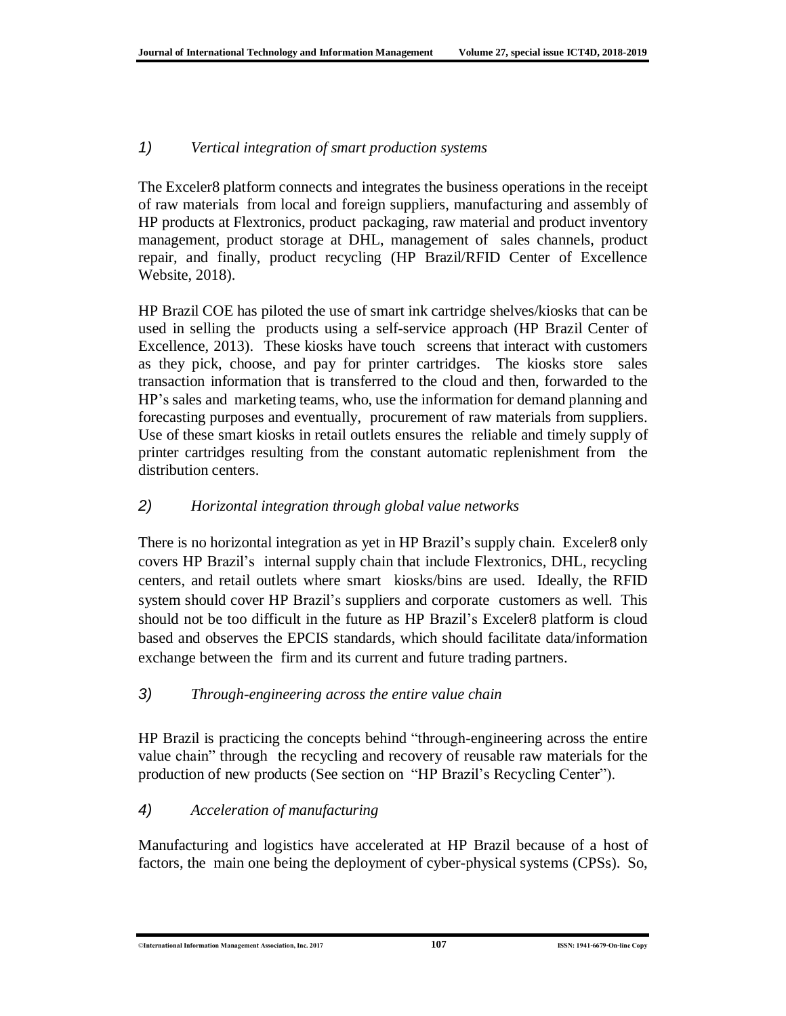### *1) Vertical integration of smart production systems*

The Exceler8 platform connects and integrates the business operations in the receipt of raw materials from local and foreign suppliers, manufacturing and assembly of HP products at Flextronics, product packaging, raw material and product inventory management, product storage at DHL, management of sales channels, product repair, and finally, product recycling (HP Brazil/RFID Center of Excellence Website, 2018).

HP Brazil COE has piloted the use of smart ink cartridge shelves/kiosks that can be used in selling the products using a self-service approach (HP Brazil Center of Excellence, 2013). These kiosks have touch screens that interact with customers as they pick, choose, and pay for printer cartridges. The kiosks store sales transaction information that is transferred to the cloud and then, forwarded to the HP's sales and marketing teams, who, use the information for demand planning and forecasting purposes and eventually, procurement of raw materials from suppliers. Use of these smart kiosks in retail outlets ensures the reliable and timely supply of printer cartridges resulting from the constant automatic replenishment from the distribution centers.

### *2) Horizontal integration through global value networks*

There is no horizontal integration as yet in HP Brazil's supply chain. Exceler8 only covers HP Brazil's internal supply chain that include Flextronics, DHL, recycling centers, and retail outlets where smart kiosks/bins are used. Ideally, the RFID system should cover HP Brazil's suppliers and corporate customers as well. This should not be too difficult in the future as HP Brazil's Exceler8 platform is cloud based and observes the EPCIS standards, which should facilitate data/information exchange between the firm and its current and future trading partners.

### *3) Through-engineering across the entire value chain*

HP Brazil is practicing the concepts behind "through-engineering across the entire value chain" through the recycling and recovery of reusable raw materials for the production of new products (See section on "HP Brazil's Recycling Center").

### *4) Acceleration of manufacturing*

Manufacturing and logistics have accelerated at HP Brazil because of a host of factors, the main one being the deployment of cyber-physical systems (CPSs). So,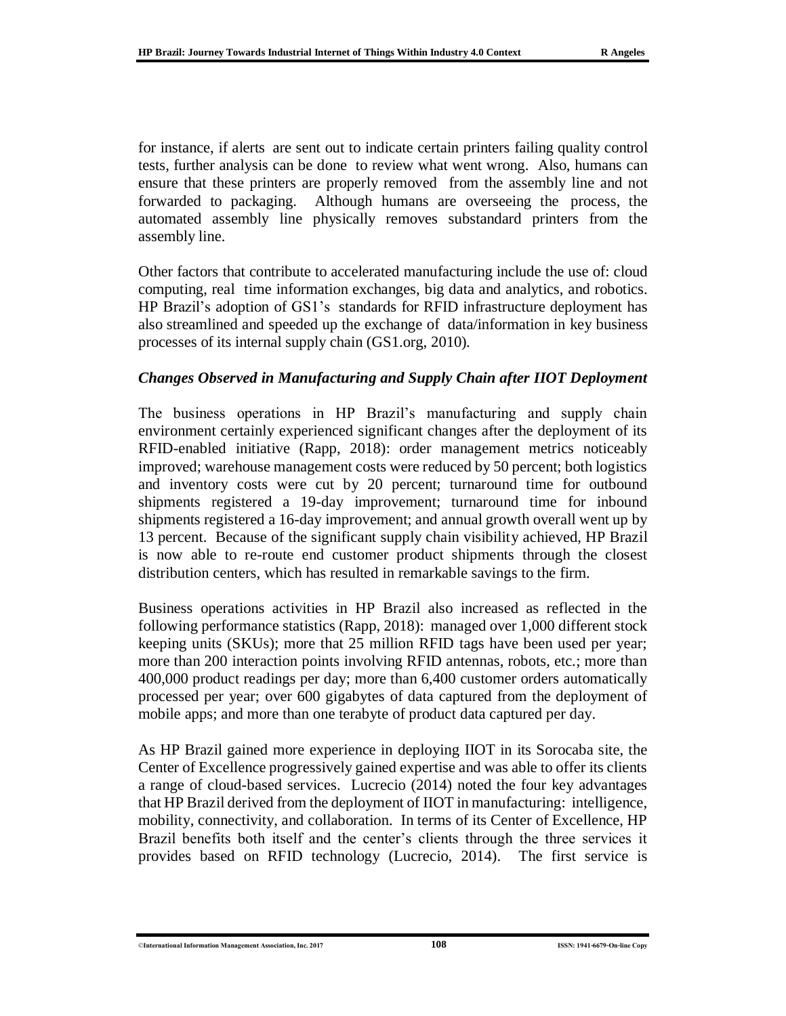for instance, if alerts are sent out to indicate certain printers failing quality control tests, further analysis can be done to review what went wrong. Also, humans can ensure that these printers are properly removed from the assembly line and not forwarded to packaging. Although humans are overseeing the process, the automated assembly line physically removes substandard printers from the assembly line.

Other factors that contribute to accelerated manufacturing include the use of: cloud computing, real time information exchanges, big data and analytics, and robotics. HP Brazil's adoption of GS1's standards for RFID infrastructure deployment has also streamlined and speeded up the exchange of data/information in key business processes of its internal supply chain (GS1.org, 2010).

### *Changes Observed in Manufacturing and Supply Chain after IIOT Deployment*

The business operations in HP Brazil's manufacturing and supply chain environment certainly experienced significant changes after the deployment of its RFID-enabled initiative (Rapp, 2018): order management metrics noticeably improved; warehouse management costs were reduced by 50 percent; both logistics and inventory costs were cut by 20 percent; turnaround time for outbound shipments registered a 19-day improvement; turnaround time for inbound shipments registered a 16-day improvement; and annual growth overall went up by 13 percent. Because of the significant supply chain visibility achieved, HP Brazil is now able to re-route end customer product shipments through the closest distribution centers, which has resulted in remarkable savings to the firm.

Business operations activities in HP Brazil also increased as reflected in the following performance statistics (Rapp, 2018): managed over 1,000 different stock keeping units (SKUs); more that 25 million RFID tags have been used per year; more than 200 interaction points involving RFID antennas, robots, etc.; more than 400,000 product readings per day; more than 6,400 customer orders automatically processed per year; over 600 gigabytes of data captured from the deployment of mobile apps; and more than one terabyte of product data captured per day.

As HP Brazil gained more experience in deploying IIOT in its Sorocaba site, the Center of Excellence progressively gained expertise and was able to offer its clients a range of cloud-based services. Lucrecio (2014) noted the four key advantages that HP Brazil derived from the deployment of IIOT in manufacturing: intelligence, mobility, connectivity, and collaboration. In terms of its Center of Excellence, HP Brazil benefits both itself and the center's clients through the three services it provides based on RFID technology (Lucrecio, 2014). The first service is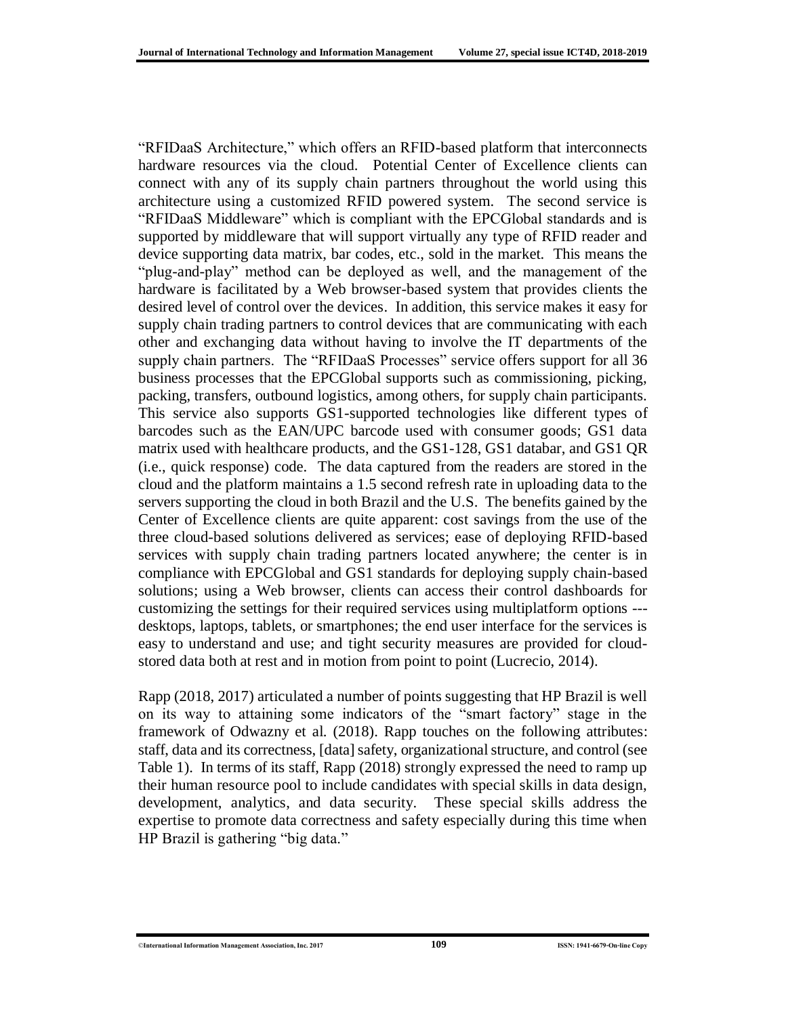"RFIDaaS Architecture," which offers an RFID-based platform that interconnects hardware resources via the cloud. Potential Center of Excellence clients can connect with any of its supply chain partners throughout the world using this architecture using a customized RFID powered system. The second service is "RFIDaaS Middleware" which is compliant with the EPCGlobal standards and is supported by middleware that will support virtually any type of RFID reader and device supporting data matrix, bar codes, etc., sold in the market. This means the "plug-and-play" method can be deployed as well, and the management of the hardware is facilitated by a Web browser-based system that provides clients the desired level of control over the devices. In addition, this service makes it easy for supply chain trading partners to control devices that are communicating with each other and exchanging data without having to involve the IT departments of the supply chain partners. The "RFIDaaS Processes" service offers support for all 36 business processes that the EPCGlobal supports such as commissioning, picking, packing, transfers, outbound logistics, among others, for supply chain participants. This service also supports GS1-supported technologies like different types of barcodes such as the EAN/UPC barcode used with consumer goods; GS1 data matrix used with healthcare products, and the GS1-128, GS1 databar, and GS1 QR (i.e., quick response) code. The data captured from the readers are stored in the cloud and the platform maintains a 1.5 second refresh rate in uploading data to the servers supporting the cloud in both Brazil and the U.S. The benefits gained by the Center of Excellence clients are quite apparent: cost savings from the use of the three cloud-based solutions delivered as services; ease of deploying RFID-based services with supply chain trading partners located anywhere; the center is in compliance with EPCGlobal and GS1 standards for deploying supply chain-based solutions; using a Web browser, clients can access their control dashboards for customizing the settings for their required services using multiplatform options -- desktops, laptops, tablets, or smartphones; the end user interface for the services is easy to understand and use; and tight security measures are provided for cloudstored data both at rest and in motion from point to point (Lucrecio, 2014).

Rapp (2018, 2017) articulated a number of points suggesting that HP Brazil is well on its way to attaining some indicators of the "smart factory" stage in the framework of Odwazny et al. (2018). Rapp touches on the following attributes: staff, data and its correctness, [data] safety, organizational structure, and control (see Table 1). In terms of its staff, Rapp (2018) strongly expressed the need to ramp up their human resource pool to include candidates with special skills in data design, development, analytics, and data security. These special skills address the expertise to promote data correctness and safety especially during this time when HP Brazil is gathering "big data."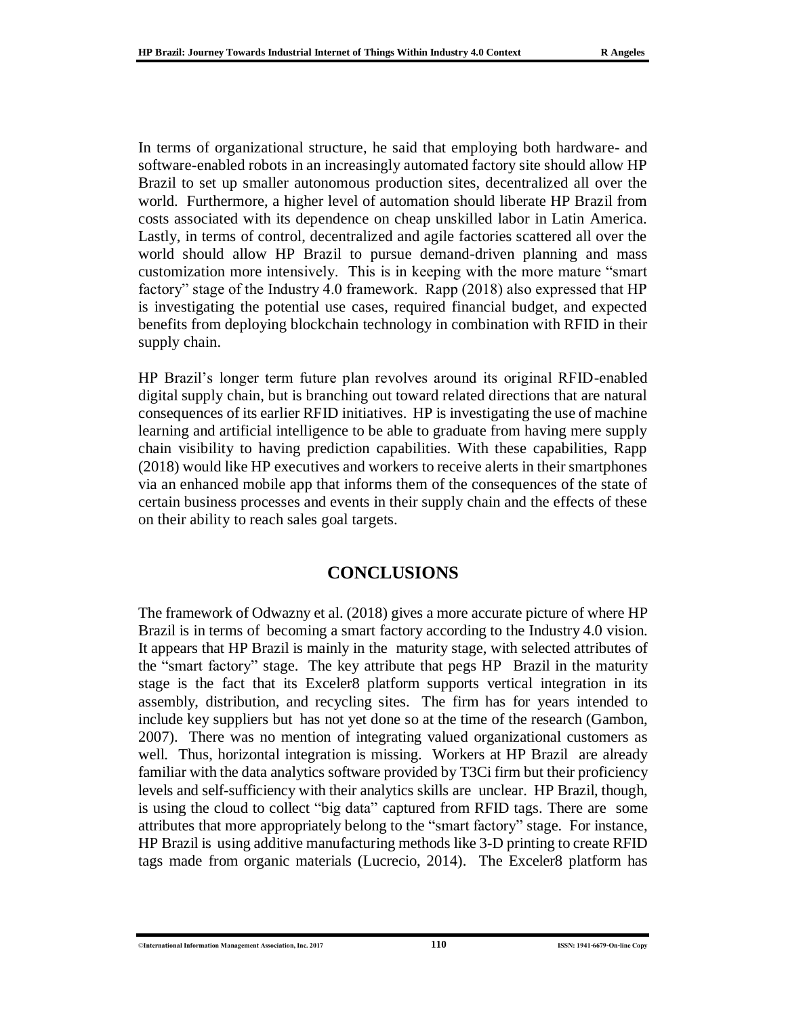In terms of organizational structure, he said that employing both hardware- and software-enabled robots in an increasingly automated factory site should allow HP Brazil to set up smaller autonomous production sites, decentralized all over the world. Furthermore, a higher level of automation should liberate HP Brazil from costs associated with its dependence on cheap unskilled labor in Latin America. Lastly, in terms of control, decentralized and agile factories scattered all over the world should allow HP Brazil to pursue demand-driven planning and mass customization more intensively. This is in keeping with the more mature "smart factory" stage of the Industry 4.0 framework. Rapp (2018) also expressed that HP is investigating the potential use cases, required financial budget, and expected benefits from deploying blockchain technology in combination with RFID in their supply chain.

HP Brazil's longer term future plan revolves around its original RFID-enabled digital supply chain, but is branching out toward related directions that are natural consequences of its earlier RFID initiatives. HP is investigating the use of machine learning and artificial intelligence to be able to graduate from having mere supply chain visibility to having prediction capabilities. With these capabilities, Rapp (2018) would like HP executives and workers to receive alerts in their smartphones via an enhanced mobile app that informs them of the consequences of the state of certain business processes and events in their supply chain and the effects of these on their ability to reach sales goal targets.

### **CONCLUSIONS**

The framework of Odwazny et al. (2018) gives a more accurate picture of where HP Brazil is in terms of becoming a smart factory according to the Industry 4.0 vision. It appears that HP Brazil is mainly in the maturity stage, with selected attributes of the "smart factory" stage. The key attribute that pegs HP Brazil in the maturity stage is the fact that its Exceler8 platform supports vertical integration in its assembly, distribution, and recycling sites. The firm has for years intended to include key suppliers but has not yet done so at the time of the research (Gambon, 2007). There was no mention of integrating valued organizational customers as well. Thus, horizontal integration is missing. Workers at HP Brazil are already familiar with the data analytics software provided by T3Ci firm but their proficiency levels and self-sufficiency with their analytics skills are unclear. HP Brazil, though, is using the cloud to collect "big data" captured from RFID tags. There are some attributes that more appropriately belong to the "smart factory" stage. For instance, HP Brazil is using additive manufacturing methods like 3-D printing to create RFID tags made from organic materials (Lucrecio, 2014). The Exceler8 platform has

<sup>©</sup>**International Information Management Association, Inc. 2017 110 ISSN: 1941-6679-On-line Copy**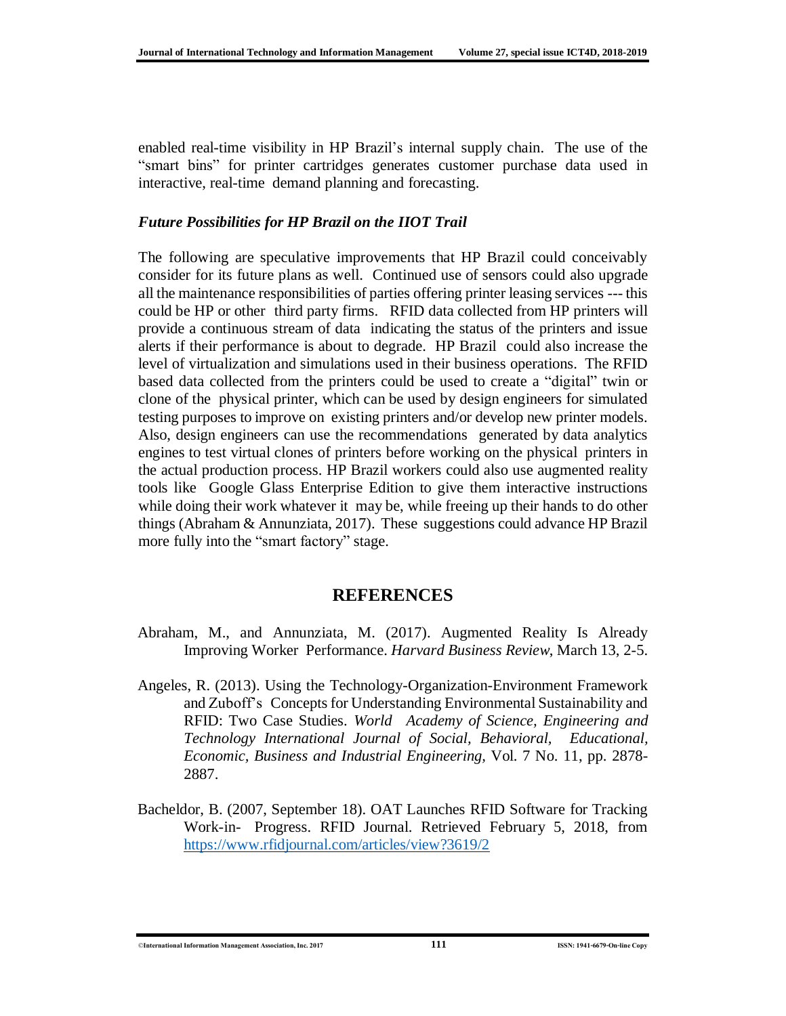enabled real-time visibility in HP Brazil's internal supply chain. The use of the "smart bins" for printer cartridges generates customer purchase data used in interactive, real-time demand planning and forecasting.

#### *Future Possibilities for HP Brazil on the IIOT Trail*

The following are speculative improvements that HP Brazil could conceivably consider for its future plans as well. Continued use of sensors could also upgrade all the maintenance responsibilities of parties offering printer leasing services --- this could be HP or other third party firms. RFID data collected from HP printers will provide a continuous stream of data indicating the status of the printers and issue alerts if their performance is about to degrade. HP Brazil could also increase the level of virtualization and simulations used in their business operations. The RFID based data collected from the printers could be used to create a "digital" twin or clone of the physical printer, which can be used by design engineers for simulated testing purposes to improve on existing printers and/or develop new printer models. Also, design engineers can use the recommendations generated by data analytics engines to test virtual clones of printers before working on the physical printers in the actual production process. HP Brazil workers could also use augmented reality tools like Google Glass Enterprise Edition to give them interactive instructions while doing their work whatever it may be, while freeing up their hands to do other things (Abraham & Annunziata, 2017). These suggestions could advance HP Brazil more fully into the "smart factory" stage.

### **REFERENCES**

- Abraham, M., and Annunziata, M. (2017). Augmented Reality Is Already Improving Worker Performance. *Harvard Business Review*, March 13, 2-5.
- Angeles, R. (2013). Using the Technology-Organization-Environment Framework and Zuboff's Concepts for Understanding Environmental Sustainability and RFID: Two Case Studies. *World Academy of Science, Engineering and Technology International Journal of Social, Behavioral, Educational, Economic, Business and Industrial Engineering,* Vol. 7 No. 11, pp. 2878- 2887.
- Bacheldor, B. (2007, September 18). OAT Launches RFID Software for Tracking Work-in- Progress. RFID Journal. Retrieved February 5, 2018, from <https://www.rfidjournal.com/articles/view?3619/2>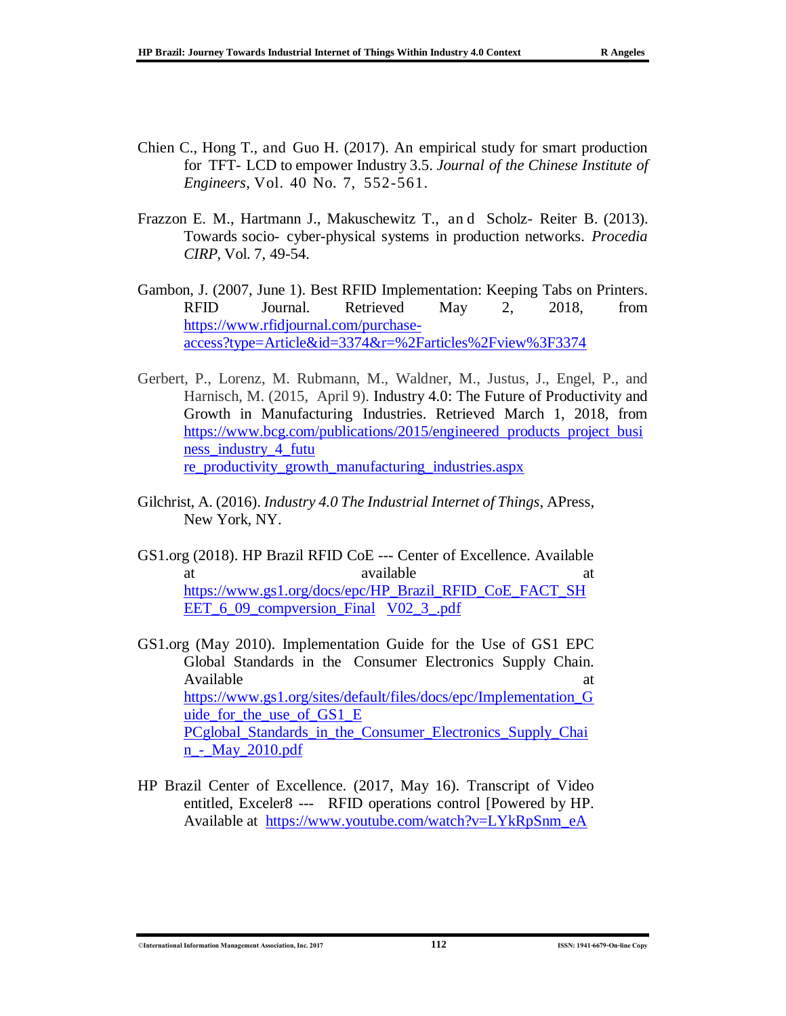- Chien C., Hong T., and Guo H. (2017). An empirical study for smart production for TFT- LCD to empower Industry 3.5. *Journal of the Chinese Institute of Engineers*, Vol. 40 No. 7, 552-561.
- Frazzon E. M., Hartmann J., Makuschewitz T., an d Scholz- Reiter B. (2013). Towards socio- cyber-physical systems in production networks. *Procedia CIRP*, Vol. 7, 49-54.
- Gambon, J. (2007, June 1). Best RFID Implementation: Keeping Tabs on Printers. RFID Journal. Retrieved May 2, 2018, from [https://www.rfidjournal.com/purchase](https://www.rfidjournal.com/purchase-access?type=Article&id=3374&r=%2Farticles%2Fview%3F3374)[access?type=Article&id=3374&r=%2Farticles%2Fview%3F3374](https://www.rfidjournal.com/purchase-access?type=Article&id=3374&r=%2Farticles%2Fview%3F3374)
- Gerbert, P., Lorenz, M. Rubmann, M., Waldner, M., Justus, J., Engel, P., and Harnisch, M. (2015, April 9). Industry 4.0: The Future of Productivity and Growth in Manufacturing Industries. Retrieved March 1, 2018, from [https://www.bcg.com/publications/2015/engineered\\_products\\_project\\_busi](https://www.bcg.com/publications/2015/engineered_products_project_business_industry_4_future_productivity_growth_manufacturing_industries.aspx) [ness\\_industry\\_4\\_futu](https://www.bcg.com/publications/2015/engineered_products_project_business_industry_4_future_productivity_growth_manufacturing_industries.aspx)  re productivity growth manufacturing industries.aspx
- Gilchrist, A. (2016). *Industry 4.0 The Industrial Internet of Things*, APress, New York, NY.
- GS1.org (2018). HP Brazil RFID CoE --- Center of Excellence. Available at available available at a state at  $\alpha$ [https://www.gs1.org/docs/epc/HP\\_Brazil\\_RFID\\_CoE\\_FACT\\_SH](https://www.gs1.org/docs/epc/HP_Brazil_RFID_CoE_FACT_SHEET_6_09_compversion_FinalV02_3_.pdf) [EET\\_6\\_09\\_compversion\\_Final V02\\_3\\_.pdf](https://www.gs1.org/docs/epc/HP_Brazil_RFID_CoE_FACT_SHEET_6_09_compversion_FinalV02_3_.pdf)
- GS1.org (May 2010). Implementation Guide for the Use of GS1 EPC Global Standards in the Consumer Electronics Supply Chain. Available at a state of  $\alpha$  at a state of  $\alpha$  at a state of  $\alpha$  at a state of  $\alpha$  at a state of  $\alpha$  at a state of  $\alpha$  at a state of  $\alpha$  at a state of  $\alpha$  at a state of  $\alpha$  at a state of  $\alpha$  at a state of  $\alpha$  at [https://www.gs1.org/sites/default/files/docs/epc/Implementation\\_G](https://www.gs1.org/sites/default/files/docs/epc/Implementation_Guide_for_the_use_of_GS1_EPCglobal_Standards_in_the_Consumer_Electronics_Supply_Chain_-_May_2010.pdf) uide for the use of GS1 E [PCglobal\\_Standards\\_in\\_the\\_Consumer\\_Electronics\\_Supply\\_Chai](https://www.gs1.org/sites/default/files/docs/epc/Implementation_Guide_for_the_use_of_GS1_EPCglobal_Standards_in_the_Consumer_Electronics_Supply_Chain_-_May_2010.pdf) n - May\_2010.pdf
- HP Brazil Center of Excellence. (2017, May 16). Transcript of Video entitled, Exceler8 --- RFID operations control [Powered by HP. Available at [https://www.youtube.com/watch?v=LYkRpSnm\\_eA](https://www.youtube.com/watch?v=LYkRpSnm_eA)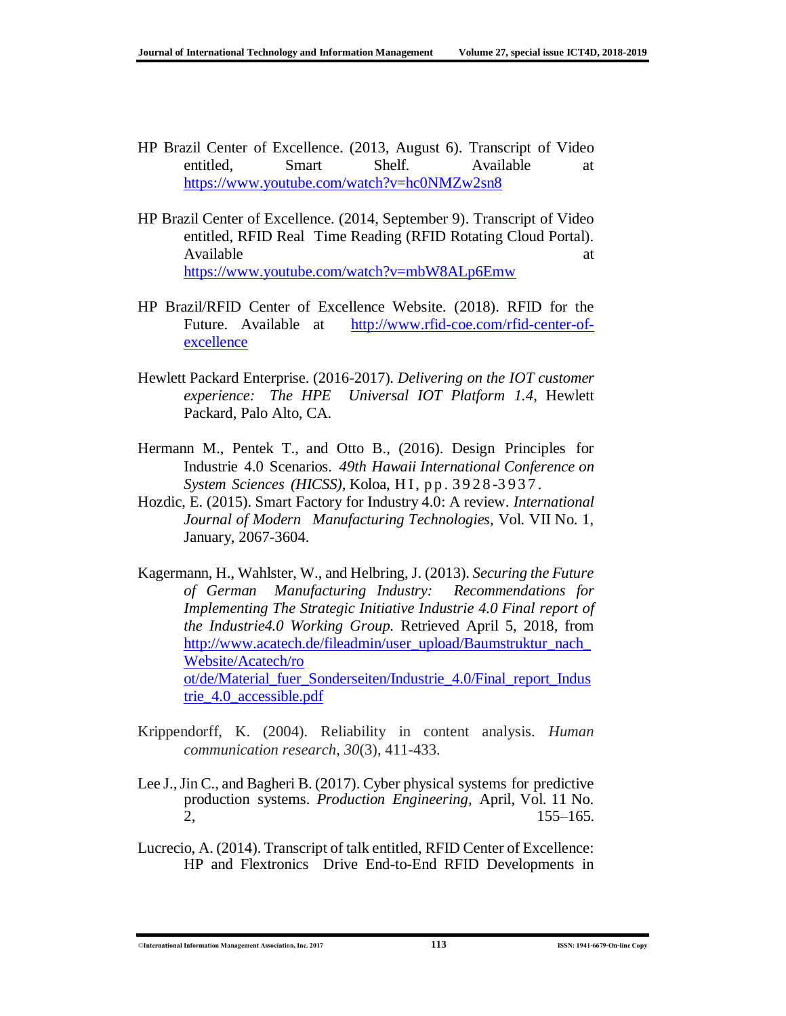- HP Brazil Center of Excellence. (2013, August 6). Transcript of Video entitled, Smart Shelf. Available at <https://www.youtube.com/watch?v=hc0NMZw2sn8>
- HP Brazil Center of Excellence. (2014, September 9). Transcript of Video entitled, RFID Real Time Reading (RFID Rotating Cloud Portal). Available at a state of  $\alpha$  at a state of  $\alpha$  at a state of  $\alpha$  at a state of  $\alpha$  at a state of  $\alpha$  at a state of  $\alpha$  at a state of  $\alpha$  at a state of  $\alpha$  at a state of  $\alpha$  at a state of  $\alpha$  at a state of  $\alpha$  at <https://www.youtube.com/watch?v=mbW8ALp6Emw>
- HP Brazil/RFID Center of Excellence Website. (2018). RFID for the Future. Available at [http://www.rfid-coe.com/rfid-center-of](http://www.rfid-coe.com/rfid-center-of-excellence)[excellence](http://www.rfid-coe.com/rfid-center-of-excellence)
- Hewlett Packard Enterprise. (2016-2017). *Delivering on the IOT customer experience: The HPE Universal IOT Platform 1.4*, Hewlett Packard, Palo Alto, CA.
- Hermann M., Pentek T., and Otto B., (2016). Design Principles for Industrie 4.0 Scenarios. *49th Hawaii International Conference on System Sciences (HICSS), Koloa, HI, pp. 3928-3937.*
- Hozdic, E. (2015). Smart Factory for Industry 4.0: A review. *International Journal of Modern Manufacturing Technologies,* Vol. VII No. 1, January, 2067-3604.
- Kagermann, H., Wahlster, W., and Helbring, J. (2013). *Securing the Future of German Manufacturing Industry: Recommendations for Implementing The Strategic Initiative Industrie 4.0 Final report of the Industrie4.0 Working Group.* Retrieved April 5, 2018, from http://www.acatech.de/fileadmin/user\_upload/Baumstruktur\_nach [Website/Acatech/ro](http://www.acatech.de/fileadmin/user_upload/Baumstruktur_nach_Website/Acatech/ro%20ot/de/Material_fuer_Sonderseiten/Industrie%23_4.0/Final_report_Industrie_4.0_accessible.pdf) [ot/de/Material\\_fuer\\_Sonderseiten/Industrie\\_4.0/Final\\_report\\_Indus](http://www.acatech.de/fileadmin/user_upload/Baumstruktur_nach_Website/Acatech/ro%20ot/de/Material_fuer_Sonderseiten/Industrie%23_4.0/Final_report_Industrie_4.0_accessible.pdf) [trie\\_4.0\\_accessible.pdf](http://www.acatech.de/fileadmin/user_upload/Baumstruktur_nach_Website/Acatech/ro%20ot/de/Material_fuer_Sonderseiten/Industrie%23_4.0/Final_report_Industrie_4.0_accessible.pdf)
- Krippendorff, K. (2004). Reliability in content analysis. *Human communication research*, *30*(3), 411-433.
- Lee J.,Jin C., and Bagheri B. (2017). Cyber physical systems for predictive production systems. *Production Engineering,* April, Vol. 11 No. 2, 155–165.
- Lucrecio, A. (2014). Transcript of talk entitled, RFID Center of Excellence: HP and Flextronics Drive End-to-End RFID Developments in

©**International Information Management Association, Inc. 2017 113 ISSN: 1941-6679-On-line Copy**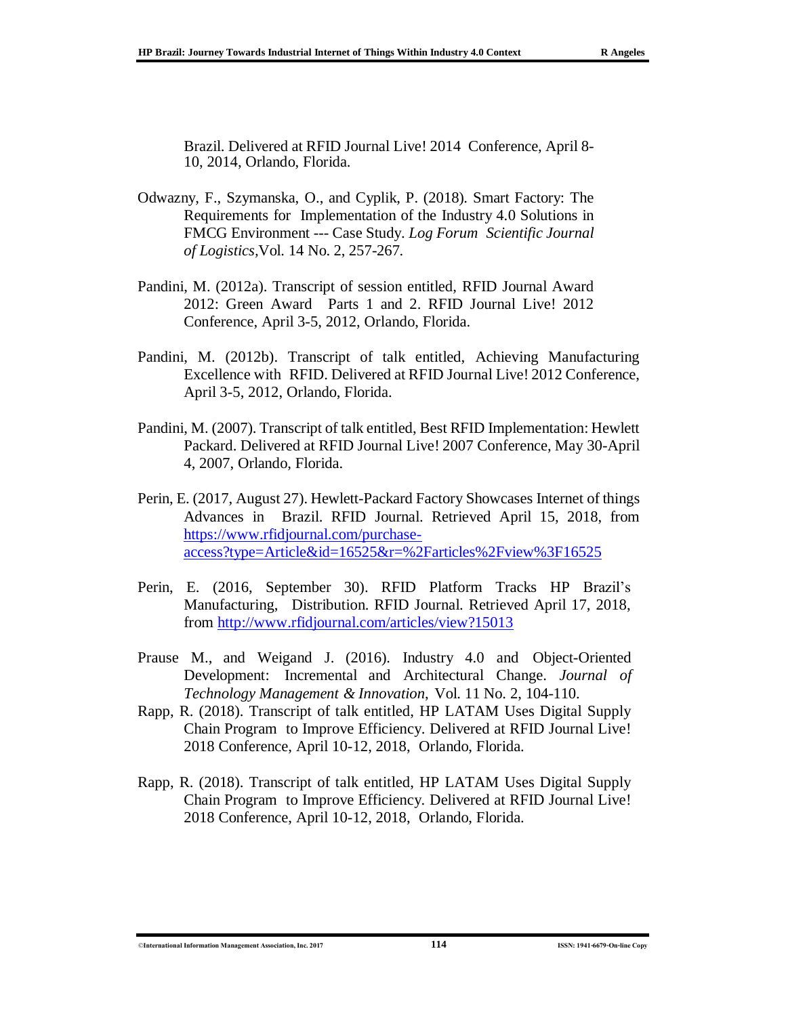Brazil. Delivered at RFID Journal Live! 2014 Conference, April 8- 10, 2014, Orlando, Florida.

- Odwazny, F., Szymanska, O., and Cyplik, P. (2018). Smart Factory: The Requirements for Implementation of the Industry 4.0 Solutions in FMCG Environment --- Case Study. *Log Forum Scientific Journal of Logistics,*Vol. 14 No. 2, 257-267.
- Pandini, M. (2012a). Transcript of session entitled, RFID Journal Award 2012: Green Award Parts 1 and 2. RFID Journal Live! 2012 Conference, April 3-5, 2012, Orlando, Florida.
- Pandini, M. (2012b). Transcript of talk entitled, Achieving Manufacturing Excellence with RFID. Delivered at RFID Journal Live! 2012 Conference, April 3-5, 2012, Orlando, Florida.
- Pandini, M. (2007). Transcript of talk entitled, Best RFID Implementation: Hewlett Packard. Delivered at RFID Journal Live! 2007 Conference, May 30-April 4, 2007, Orlando, Florida.
- Perin, E. (2017, August 27). Hewlett-Packard Factory Showcases Internet of things Advances in Brazil. RFID Journal. Retrieved April 15, 2018, from [https://www.rfidjournal.com/purchase](https://www.rfidjournal.com/purchase-access?type=Article&id=16525&r=%2Farticles%2Fview%3F16525)[access?type=Article&id=16525&r=%2Farticles%2Fview%3F16525](https://www.rfidjournal.com/purchase-access?type=Article&id=16525&r=%2Farticles%2Fview%3F16525)
- Perin, E. (2016, September 30). RFID Platform Tracks HP Brazil's Manufacturing, Distribution. RFID Journal. Retrieved April 17, 2018, from <http://www.rfidjournal.com/articles/view?15013>
- Prause M., and Weigand J. (2016). Industry 4.0 and Object-Oriented Development: Incremental and Architectural Change. *Journal of Technology Management & Innovation*, Vol. 11 No. 2, 104-110.
- Rapp, R. (2018). Transcript of talk entitled, HP LATAM Uses Digital Supply Chain Program to Improve Efficiency. Delivered at RFID Journal Live! 2018 Conference, April 10-12, 2018, Orlando, Florida.
- Rapp, R. (2018). Transcript of talk entitled, HP LATAM Uses Digital Supply Chain Program to Improve Efficiency. Delivered at RFID Journal Live! 2018 Conference, April 10-12, 2018, Orlando, Florida.

<sup>©</sup>**International Information Management Association, Inc. 2017 114 ISSN: 1941-6679-On-line Copy**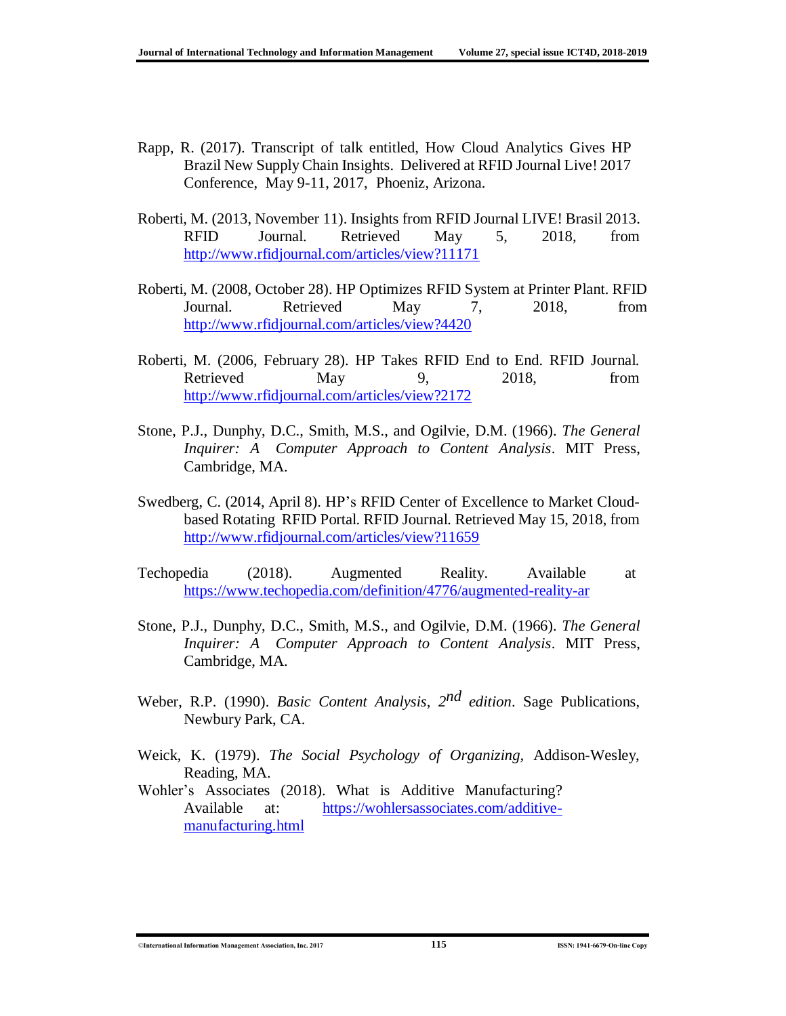- Rapp, R. (2017). Transcript of talk entitled, How Cloud Analytics Gives HP Brazil New Supply Chain Insights. Delivered at RFID Journal Live! 2017 Conference, May 9-11, 2017, Phoeniz, Arizona.
- Roberti, M. (2013, November 11). Insights from RFID Journal LIVE! Brasil 2013. RFID Journal. Retrieved May 5, 2018, from <http://www.rfidjournal.com/articles/view?11171>
- Roberti, M. (2008, October 28). HP Optimizes RFID System at Printer Plant. RFID Journal. Retrieved May 7, 2018, from <http://www.rfidjournal.com/articles/view?4420>
- Roberti, M. (2006, February 28). HP Takes RFID End to End. RFID Journal*.*  Retrieved May 9, 2018, from <http://www.rfidjournal.com/articles/view?2172>
- Stone, P.J., Dunphy, D.C., Smith, M.S., and Ogilvie, D.M. (1966). *The General Inquirer: A Computer Approach to Content Analysis*. MIT Press, Cambridge, MA.
- Swedberg, C. (2014, April 8). HP's RFID Center of Excellence to Market Cloudbased Rotating RFID Portal. RFID Journal*.* Retrieved May 15, 2018, from <http://www.rfidjournal.com/articles/view?11659>
- Techopedia (2018). Augmented Reality. Available at <https://www.techopedia.com/definition/4776/augmented-reality-ar>
- Stone, P.J., Dunphy, D.C., Smith, M.S., and Ogilvie, D.M. (1966). *The General Inquirer: A Computer Approach to Content Analysis*. MIT Press, Cambridge, MA.
- Weber, R.P. (1990). *Basic Content Analysis, 2 nd edition*. Sage Publications, Newbury Park, CA.
- Weick, K. (1979). *The Social Psychology of Organizing,* Addison-Wesley, Reading, MA.
- Wohler's Associates (2018). What is Additive Manufacturing? Available at: [https://wohlersassociates.com/additive](https://wohlersassociates.com/additive-manufacturing.html)[manufacturing.html](https://wohlersassociates.com/additive-manufacturing.html)